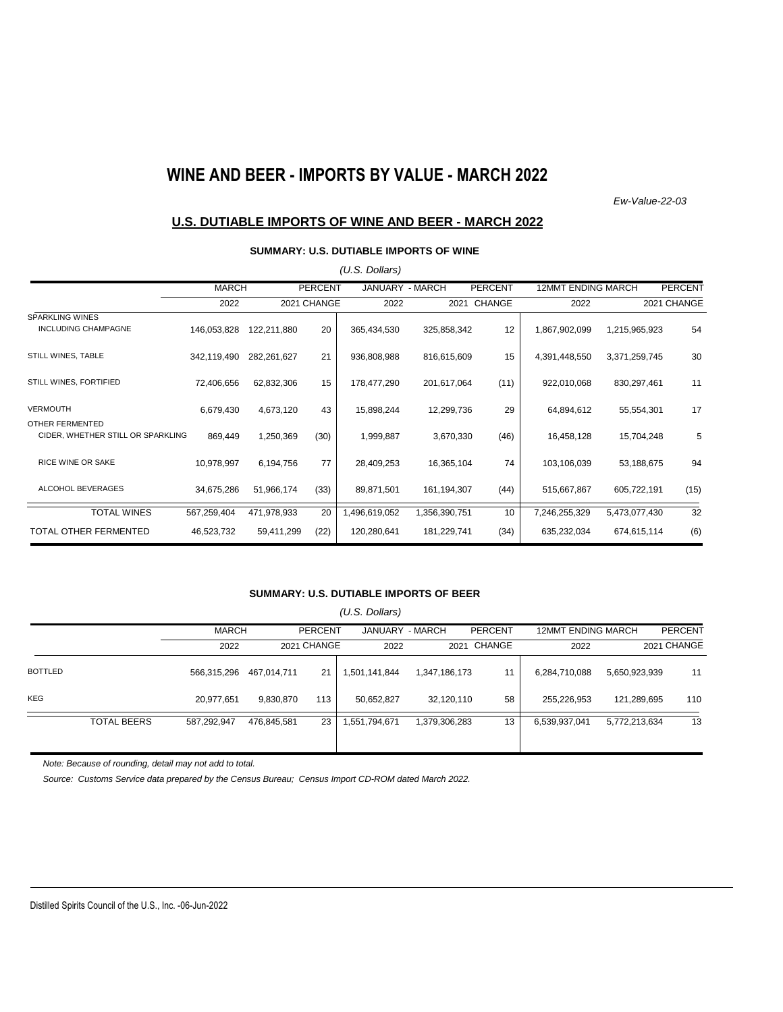# **WINE AND BEER - IMPORTS BY VALUE - MARCH 2022**

*Ew-Value-22-03*

### **U.S. DUTIABLE IMPORTS OF WINE AND BEER - MARCH 2022**

#### **SUMMARY: U.S. DUTIABLE IMPORTS OF WINE**

|                                   |              |             |                | (U.S. Dollars)  |               |                |                           |               |                |
|-----------------------------------|--------------|-------------|----------------|-----------------|---------------|----------------|---------------------------|---------------|----------------|
|                                   | <b>MARCH</b> |             | <b>PERCENT</b> | JANUARY - MARCH |               | <b>PERCENT</b> | <b>12MMT ENDING MARCH</b> |               | <b>PERCENT</b> |
|                                   | 2022         |             | 2021 CHANGE    | 2022            | 2021          | CHANGE         | 2022                      |               | 2021 CHANGE    |
| <b>SPARKLING WINES</b>            |              |             |                |                 |               |                |                           |               |                |
| <b>INCLUDING CHAMPAGNE</b>        | 146,053,828  | 122,211,880 | 20             | 365,434,530     | 325,858,342   | 12             | 1,867,902,099             | 1,215,965,923 | 54             |
| STILL WINES, TABLE                | 342,119,490  | 282,261,627 | 21             | 936,808,988     | 816,615,609   | 15             | 4,391,448,550             | 3,371,259,745 | 30             |
| STILL WINES, FORTIFIED            | 72,406,656   | 62,832,306  | 15             | 178,477,290     | 201,617,064   | (11)           | 922,010,068               | 830,297,461   | 11             |
| <b>VERMOUTH</b>                   | 6,679,430    | 4,673,120   | 43             | 15,898,244      | 12,299,736    | 29             | 64,894,612                | 55,554,301    | 17             |
| OTHER FERMENTED                   |              |             |                |                 |               |                |                           |               |                |
| CIDER, WHETHER STILL OR SPARKLING | 869,449      | 1,250,369   | (30)           | 1,999,887       | 3,670,330     | (46)           | 16,458,128                | 15,704,248    | 5              |
| <b>RICE WINE OR SAKE</b>          | 10,978,997   | 6,194,756   | 77             | 28,409,253      | 16,365,104    | 74             | 103,106,039               | 53,188,675    | 94             |
| ALCOHOL BEVERAGES                 | 34,675,286   | 51,966,174  | (33)           | 89,871,501      | 161,194,307   | (44)           | 515,667,867               | 605,722,191   | (15)           |
| <b>TOTAL WINES</b>                | 567,259,404  | 471,978,933 | 20             | 1,496,619,052   | 1,356,390,751 | 10             | 7,246,255,329             | 5,473,077,430 | 32             |
| <b>TOTAL OTHER FERMENTED</b>      | 46,523,732   | 59,411,299  | (22)           | 120,280,641     | 181,229,741   | (34)           | 635,232,034               | 674,615,114   | (6)            |

#### **SUMMARY: U.S. DUTIABLE IMPORTS OF BEER**

|                |                    | (U.S. Dollars) |             |                |                 |               |                |                           |               |             |  |
|----------------|--------------------|----------------|-------------|----------------|-----------------|---------------|----------------|---------------------------|---------------|-------------|--|
|                |                    | <b>MARCH</b>   |             | <b>PERCENT</b> | JANUARY - MARCH |               | <b>PERCENT</b> | <b>12MMT ENDING MARCH</b> |               | PERCENT     |  |
|                |                    | 2022           |             | 2021 CHANGE    | 2022            |               | 2021 CHANGE    | 2022                      |               | 2021 CHANGE |  |
| <b>BOTTLED</b> |                    | 566,315,296    | 467,014,711 | 21             | 1,501,141,844   | 1,347,186,173 | 11             | 6,284,710,088             | 5,650,923,939 | 11          |  |
| <b>KEG</b>     |                    | 20,977,651     | 9,830,870   | 113            | 50,652,827      | 32,120,110    | 58             | 255,226,953               | 121,289,695   | 110         |  |
|                | <b>TOTAL BEERS</b> | 587,292,947    | 476,845,581 | 23             | 1,551,794,671   | 1,379,306,283 | 13             | 6,539,937,041             | 5,772,213,634 | 13          |  |

*Note: Because of rounding, detail may not add to total.*

*Source: Customs Service data prepared by the Census Bureau; Census Import CD-ROM dated March 2022.*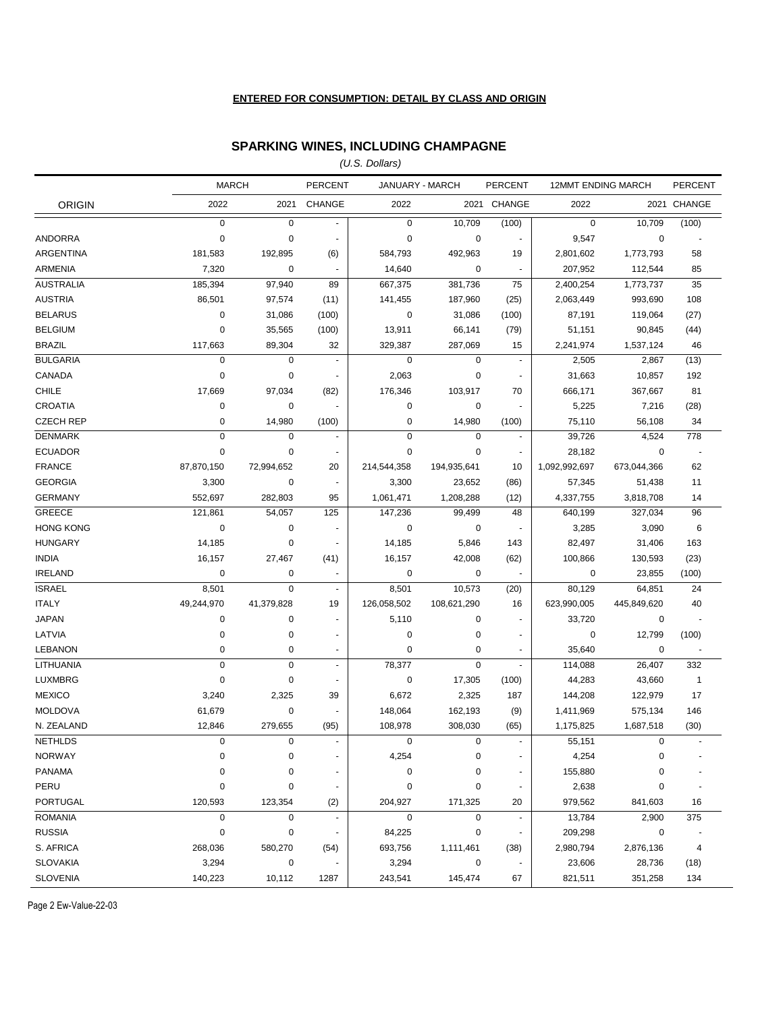#### **ENTERED FOR CONSUMPTION: DETAIL BY CLASS AND ORIGIN**

### **SPARKING WINES, INCLUDING CHAMPAGNE**

*(U.S. Dollars)*

|                  | <b>MARCH</b> |             | <b>PERCENT</b>           | JANUARY - MARCH |             | <b>PERCENT</b>           | <b>12MMT ENDING MARCH</b> |             | PERCENT                  |
|------------------|--------------|-------------|--------------------------|-----------------|-------------|--------------------------|---------------------------|-------------|--------------------------|
| <b>ORIGIN</b>    | 2022         | 2021        | CHANGE                   | 2022            |             | 2021 CHANGE              | 2022                      |             | 2021 CHANGE              |
|                  | $\mathbf 0$  | $\mathbf 0$ | $\omega$                 | 0               | 10,709      | (100)                    | $\mathsf 0$               | 10,709      | (100)                    |
| ANDORRA          | $\mathbf 0$  | $\mathbf 0$ | $\blacksquare$           | 0               | 0           |                          | 9,547                     | 0           | $\overline{\phantom{a}}$ |
| <b>ARGENTINA</b> | 181,583      | 192,895     | (6)                      | 584,793         | 492,963     | 19                       | 2,801,602                 | 1,773,793   | 58                       |
| <b>ARMENIA</b>   | 7,320        | $\mathbf 0$ | $\blacksquare$           | 14,640          | 0           |                          | 207,952                   | 112,544     | 85                       |
| <b>AUSTRALIA</b> | 185,394      | 97,940      | 89                       | 667,375         | 381,736     | 75                       | 2,400,254                 | 1,773,737   | 35                       |
| <b>AUSTRIA</b>   | 86,501       | 97,574      | (11)                     | 141,455         | 187,960     | (25)                     | 2,063,449                 | 993,690     | 108                      |
| <b>BELARUS</b>   | 0            | 31,086      | (100)                    | 0               | 31,086      | (100)                    | 87,191                    | 119,064     | (27)                     |
| <b>BELGIUM</b>   | $\pmb{0}$    | 35,565      | (100)                    | 13,911          | 66,141      | (79)                     | 51,151                    | 90,845      | (44)                     |
| <b>BRAZIL</b>    | 117,663      | 89,304      | 32                       | 329,387         | 287,069     | 15                       | 2,241,974                 | 1,537,124   | 46                       |
| <b>BULGARIA</b>  | $\mathbf 0$  | $\mathbf 0$ | $\blacksquare$           | $\mathbf 0$     | $\mathbf 0$ | $\blacksquare$           | 2,505                     | 2,867       | (13)                     |
| CANADA           | $\pmb{0}$    | $\mathbf 0$ | $\blacksquare$           | 2,063           | $\mathbf 0$ | $\blacksquare$           | 31,663                    | 10,857      | 192                      |
| <b>CHILE</b>     | 17,669       | 97,034      | (82)                     | 176,346         | 103,917     | 70                       | 666,171                   | 367,667     | 81                       |
| <b>CROATIA</b>   | $\pmb{0}$    | 0           |                          | 0               | 0           |                          | 5,225                     | 7,216       | (28)                     |
| <b>CZECH REP</b> | 0            | 14,980      | (100)                    | 0               | 14,980      | (100)                    | 75,110                    | 56,108      | 34                       |
| <b>DENMARK</b>   | $\pmb{0}$    | $\mathbf 0$ | $\blacksquare$           | 0               | $\mathbf 0$ | $\blacksquare$           | 39,726                    | 4,524       | 778                      |
| <b>ECUADOR</b>   | $\pmb{0}$    | $\mathbf 0$ | $\blacksquare$           | 0               | $\mathbf 0$ | $\sim$                   | 28,182                    | 0           | $\sim$                   |
| <b>FRANCE</b>    | 87,870,150   | 72,994,652  | 20                       | 214,544,358     | 194,935,641 | 10                       | 1,092,992,697             | 673,044,366 | 62                       |
| <b>GEORGIA</b>   | 3,300        | $\mathbf 0$ | $\overline{\phantom{a}}$ | 3,300           | 23,652      | (86)                     | 57,345                    | 51,438      | 11                       |
| <b>GERMANY</b>   | 552,697      | 282,803     | 95                       | 1,061,471       | 1,208,288   | (12)                     | 4,337,755                 | 3,818,708   | 14                       |
| GREECE           | 121,861      | 54,057      | 125                      | 147,236         | 99,499      | 48                       | 640,199                   | 327,034     | 96                       |
| <b>HONG KONG</b> | 0            | $\mathbf 0$ | $\sim$                   | 0               | 0           | ÷,                       | 3,285                     | 3,090       | 6                        |
| <b>HUNGARY</b>   | 14,185       | 0           | $\blacksquare$           | 14,185          | 5,846       | 143                      | 82,497                    | 31,406      | 163                      |
| <b>INDIA</b>     | 16,157       | 27,467      | (41)                     | 16,157          | 42,008      | (62)                     | 100,866                   | 130,593     | (23)                     |
| <b>IRELAND</b>   | $\pmb{0}$    | $\pmb{0}$   | $\blacksquare$           | 0               | 0           |                          | 0                         | 23,855      | (100)                    |
| <b>ISRAEL</b>    | 8,501        | $\mathbf 0$ | $\blacksquare$           | 8,501           | 10,573      | (20)                     | 80,129                    | 64,851      | 24                       |
| <b>ITALY</b>     | 49,244,970   | 41,379,828  | 19                       | 126,058,502     | 108,621,290 | 16                       | 623,990,005               | 445,849,620 | 40                       |
| <b>JAPAN</b>     | 0            | $\pmb{0}$   | $\blacksquare$           | 5,110           | 0           | $\blacksquare$           | 33,720                    | 0           | $\sim$                   |
| LATVIA           | $\pmb{0}$    | 0           | $\overline{\phantom{a}}$ | $\pmb{0}$       | $\mathbf 0$ |                          | $\mathbf 0$               | 12,799      | (100)                    |
| <b>LEBANON</b>   | $\pmb{0}$    | 0           | $\blacksquare$           | $\pmb{0}$       | $\mathbf 0$ | $\overline{\phantom{a}}$ | 35,640                    | $\mathbf 0$ | $\overline{\phantom{a}}$ |
| LITHUANIA        | $\pmb{0}$    | $\mathbf 0$ | $\blacksquare$           | 78,377          | $\mathbf 0$ | $\blacksquare$           | 114,088                   | 26,407      | 332                      |
| <b>LUXMBRG</b>   | $\pmb{0}$    | $\pmb{0}$   | $\overline{\phantom{a}}$ | $\pmb{0}$       | 17,305      | (100)                    | 44,283                    | 43,660      | $\overline{1}$           |
| <b>MEXICO</b>    | 3,240        | 2,325       | 39                       | 6,672           | 2,325       | 187                      | 144,208                   | 122,979     | 17                       |
| <b>MOLDOVA</b>   | 61,679       | $\mathbf 0$ | $\overline{\phantom{a}}$ | 148,064         | 162,193     | (9)                      | 1,411,969                 | 575,134     | 146                      |
| N. ZEALAND       | 12,846       | 279,655     | (95)                     | 108,978         | 308,030     | (65)                     | 1,175,825                 | 1,687,518   | (30)                     |
| <b>NETHLDS</b>   | $\mathbf 0$  | $\mathbf 0$ | $\blacksquare$           | $\mathbf 0$     | $\mathbf 0$ | $\blacksquare$           | 55,151                    | $\mathbf 0$ | $\mathbf{r}$             |
| <b>NORWAY</b>    | $\pmb{0}$    | $\pmb{0}$   | $\ddot{\phantom{1}}$     | 4,254           | $\pmb{0}$   |                          | 4,254                     | 0           |                          |
| <b>PANAMA</b>    | $\pmb{0}$    | 0           | $\blacksquare$           | $\pmb{0}$       | 0           |                          | 155,880                   | 0           |                          |
| PERU             | $\mathbf 0$  | 0           | $\overline{\phantom{a}}$ | $\pmb{0}$       | $\mathbf 0$ |                          | 2,638                     | 0           |                          |
| <b>PORTUGAL</b>  | 120,593      | 123,354     | (2)                      | 204,927         | 171,325     | 20                       | 979,562                   | 841,603     | 16                       |
| <b>ROMANIA</b>   | $\pmb{0}$    | $\pmb{0}$   | $\blacksquare$           | $\pmb{0}$       | $\mathbf 0$ |                          | 13,784                    | 2,900       | 375                      |
| <b>RUSSIA</b>    | $\pmb{0}$    | $\pmb{0}$   | ä,                       | 84,225          | $\mathbf 0$ | $\blacksquare$           | 209,298                   | 0           |                          |
| S. AFRICA        | 268,036      | 580,270     | (54)                     | 693,756         | 1,111,461   | (38)                     | 2,980,794                 | 2,876,136   | 4                        |
| <b>SLOVAKIA</b>  | 3,294        | $\pmb{0}$   |                          | 3,294           | $\pmb{0}$   |                          | 23,606                    | 28,736      | (18)                     |
| <b>SLOVENIA</b>  | 140,223      | 10,112      | 1287                     | 243,541         | 145,474     | 67                       | 821,511                   | 351,258     | 134                      |

Page 2 Ew-Value-22-03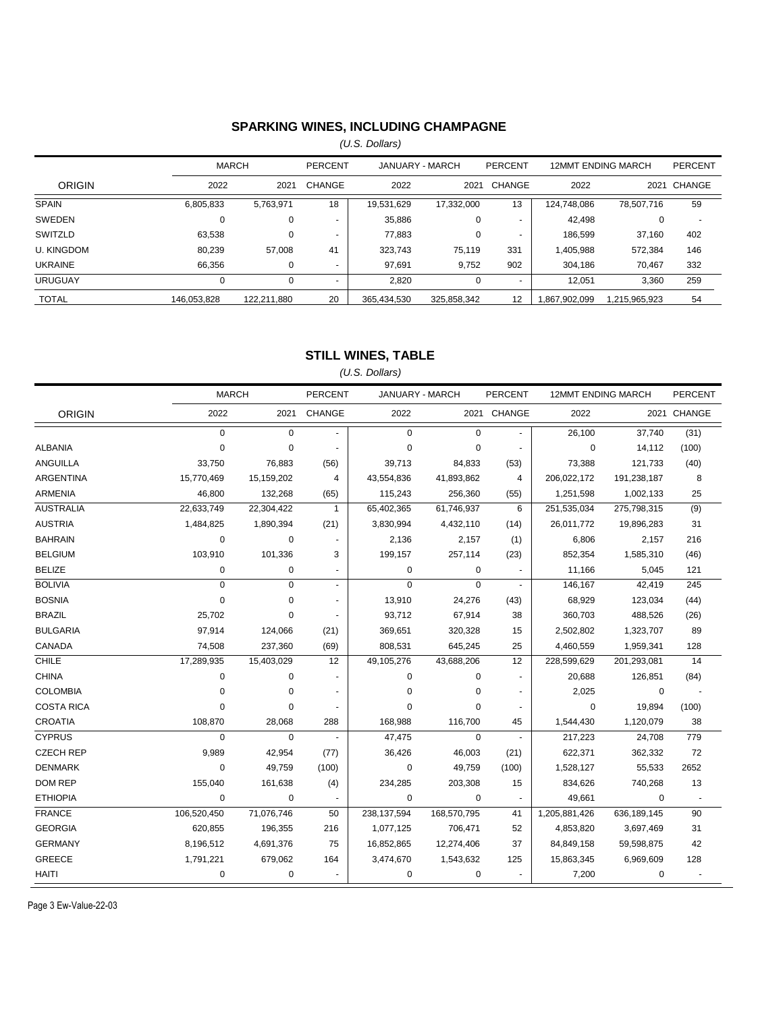## **SPARKING WINES, INCLUDING CHAMPAGNE**

*(U.S. Dollars)*

|                   | <b>MARCH</b> |             | PERCENT        | JANUARY - MARCH |             | PERCENT        |               | <b>12MMT ENDING MARCH</b> | <b>PERCENT</b> |
|-------------------|--------------|-------------|----------------|-----------------|-------------|----------------|---------------|---------------------------|----------------|
| <b>ORIGIN</b>     | 2022         | 2021        | CHANGE         | 2022            | 2021        | CHANGE         | 2022          | 2021                      | CHANGE         |
| <b>SPAIN</b>      | 6,805,833    | 5,763,971   | 18             | 19,531,629      | 17,332,000  | 13             | 124,748,086   | 78,507,716                | 59             |
| SWEDEN            | 0            | 0           |                | 35,886          | 0           |                | 42.498        | 0                         |                |
| SWITZLD           | 63.538       |             |                | 77.883          | 0           | $\overline{a}$ | 186.599       | 37.160                    | 402            |
| <b>U. KINGDOM</b> | 80,239       | 57.008      | 41             | 323,743         | 75,119      | 331            | 1,405,988     | 572,384                   | 146            |
| <b>UKRAINE</b>    | 66,356       |             |                | 97,691          | 9,752       | 902            | 304,186       | 70.467                    | 332            |
| <b>URUGUAY</b>    | 0            |             | $\overline{a}$ | 2,820           | 0           | $\overline{a}$ | 12.051        | 3,360                     | 259            |
| <b>TOTAL</b>      | 146.053.828  | 122.211.880 | 20             | 365.434.530     | 325.858.342 | 12             | 1.867.902.099 | 1.215.965.923             | 54             |

## **STILL WINES, TABLE**

*(U.S. Dollars)*

|                   | <b>MARCH</b> |             | PERCENT        |             | JANUARY - MARCH | PERCENT                  | <b>12MMT ENDING MARCH</b> |             | <b>PERCENT</b> |
|-------------------|--------------|-------------|----------------|-------------|-----------------|--------------------------|---------------------------|-------------|----------------|
| <b>ORIGIN</b>     | 2022         | 2021        | CHANGE         | 2022        |                 | 2021 CHANGE              | 2022                      |             | 2021 CHANGE    |
|                   | $\mathbf 0$  | $\Omega$    |                | $\Omega$    | $\Omega$        | $\sim$                   | 26,100                    | 37,740      | (31)           |
| <b>ALBANIA</b>    | 0            | $\mathbf 0$ |                | $\mathbf 0$ | $\pmb{0}$       | ÷.                       | 0                         | 14,112      | (100)          |
| <b>ANGUILLA</b>   | 33,750       | 76,883      | (56)           | 39,713      | 84,833          | (53)                     | 73,388                    | 121,733     | (40)           |
| ARGENTINA         | 15,770,469   | 15,159,202  | $\overline{4}$ | 43,554,836  | 41,893,862      | 4                        | 206,022,172               | 191,238,187 | 8              |
| <b>ARMENIA</b>    | 46,800       | 132,268     | (65)           | 115,243     | 256,360         | (55)                     | 1,251,598                 | 1,002,133   | 25             |
| <b>AUSTRALIA</b>  | 22,633,749   | 22,304,422  | -1             | 65,402,365  | 61,746,937      | 6                        | 251,535,034               | 275,798,315 | (9)            |
| <b>AUSTRIA</b>    | 1,484,825    | 1,890,394   | (21)           | 3,830,994   | 4,432,110       | (14)                     | 26,011,772                | 19,896,283  | 31             |
| <b>BAHRAIN</b>    | $\mathbf 0$  | $\mathbf 0$ |                | 2,136       | 2,157           | (1)                      | 6,806                     | 2,157       | 216            |
| <b>BELGIUM</b>    | 103,910      | 101,336     | 3              | 199,157     | 257,114         | (23)                     | 852,354                   | 1,585,310   | (46)           |
| <b>BELIZE</b>     | 0            | $\mathbf 0$ |                | 0           | 0               |                          | 11,166                    | 5,045       | 121            |
| <b>BOLIVIA</b>    | 0            | $\mathbf 0$ | $\blacksquare$ | $\mathbf 0$ | 0               | $\sim$                   | 146,167                   | 42,419      | 245            |
| <b>BOSNIA</b>     | $\mathbf 0$  | $\mathbf 0$ |                | 13,910      | 24,276          | (43)                     | 68,929                    | 123,034     | (44)           |
| <b>BRAZIL</b>     | 25,702       | $\mathbf 0$ |                | 93,712      | 67,914          | 38                       | 360,703                   | 488,526     | (26)           |
| <b>BULGARIA</b>   | 97,914       | 124,066     | (21)           | 369,651     | 320,328         | 15                       | 2,502,802                 | 1,323,707   | 89             |
| CANADA            | 74,508       | 237,360     | (69)           | 808,531     | 645,245         | 25                       | 4,460,559                 | 1,959,341   | 128            |
| <b>CHILE</b>      | 17,289,935   | 15,403,029  | 12             | 49,105,276  | 43,688,206      | 12                       | 228,599,629               | 201,293,081 | 14             |
| <b>CHINA</b>      | 0            | $\mathbf 0$ | $\blacksquare$ | 0           | 0               | $\blacksquare$           | 20,688                    | 126,851     | (84)           |
| <b>COLOMBIA</b>   | 0            | 0           |                | $\mathbf 0$ | 0               | $\blacksquare$           | 2,025                     | 0           |                |
| <b>COSTA RICA</b> | 0            | $\Omega$    |                | $\Omega$    | 0               | $\sim$                   | $\mathbf 0$               | 19,894      | (100)          |
| <b>CROATIA</b>    | 108,870      | 28,068      | 288            | 168,988     | 116,700         | 45                       | 1,544,430                 | 1,120,079   | 38             |
| <b>CYPRUS</b>     | $\mathbf 0$  | $\Omega$    |                | 47,475      | $\Omega$        | $\overline{\phantom{a}}$ | 217,223                   | 24,708      | 779            |
| <b>CZECH REP</b>  | 9,989        | 42,954      | (77)           | 36,426      | 46,003          | (21)                     | 622,371                   | 362,332     | 72             |
| <b>DENMARK</b>    | $\Omega$     | 49,759      | (100)          | $\mathbf 0$ | 49,759          | (100)                    | 1,528,127                 | 55,533      | 2652           |
| DOM REP           | 155,040      | 161,638     | (4)            | 234,285     | 203,308         | 15                       | 834,626                   | 740,268     | 13             |
| <b>ETHIOPIA</b>   | 0            | 0           | $\blacksquare$ | 0           | 0               | ÷,                       | 49,661                    | 0           | $\blacksquare$ |
| <b>FRANCE</b>     | 106,520,450  | 71,076,746  | 50             | 238,137,594 | 168,570,795     | 41                       | 1,205,881,426             | 636,189,145 | 90             |
| <b>GEORGIA</b>    | 620,855      | 196,355     | 216            | 1,077,125   | 706,471         | 52                       | 4,853,820                 | 3,697,469   | 31             |
| <b>GERMANY</b>    | 8,196,512    | 4,691,376   | 75             | 16,852,865  | 12,274,406      | 37                       | 84,849,158                | 59,598,875  | 42             |
| <b>GREECE</b>     | 1,791,221    | 679,062     | 164            | 3,474,670   | 1,543,632       | 125                      | 15,863,345                | 6,969,609   | 128            |
| HAITI             | 0            | $\mathbf 0$ |                | 0           | 0               |                          | 7,200                     | $\mathbf 0$ |                |

Page 3 Ew-Value-22-03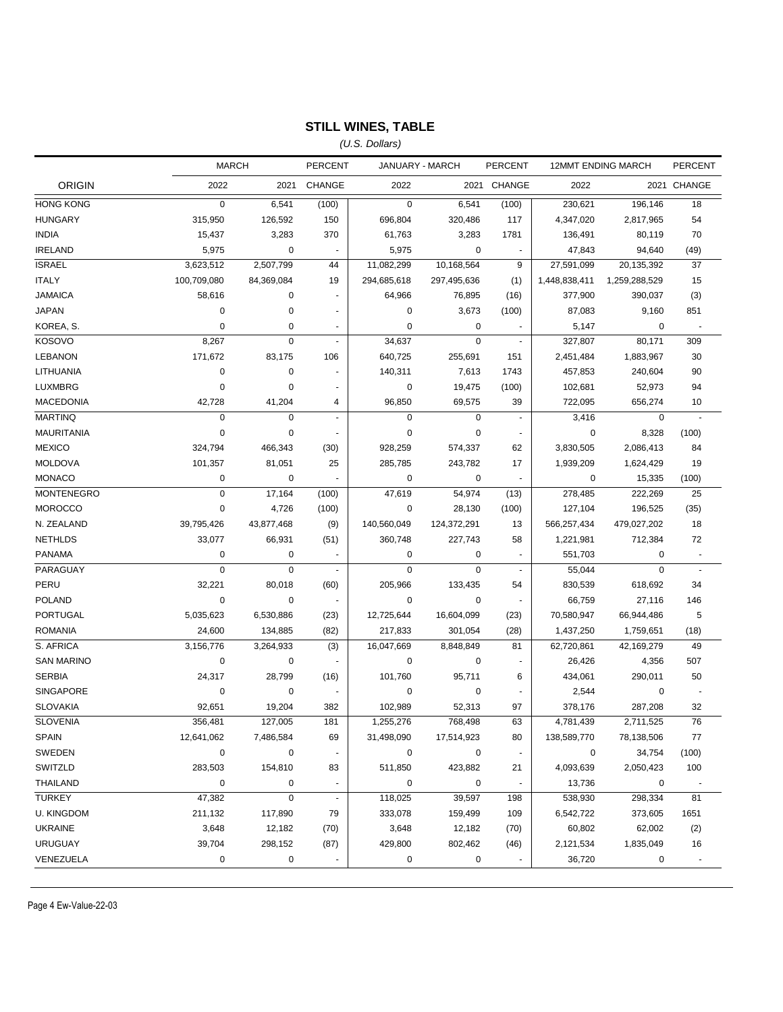## **STILL WINES, TABLE**

*(U.S. Dollars)*

|                   | <b>MARCH</b> |            | <b>PERCENT</b> | JANUARY - MARCH |             | <b>PERCENT</b>           | <b>12MMT ENDING MARCH</b> |                | <b>PERCENT</b>           |
|-------------------|--------------|------------|----------------|-----------------|-------------|--------------------------|---------------------------|----------------|--------------------------|
| <b>ORIGIN</b>     | 2022         | 2021       | <b>CHANGE</b>  | 2022            |             | 2021 CHANGE              | 2022                      |                | 2021 CHANGE              |
| <b>HONG KONG</b>  | $\mathbf 0$  | 6,541      | (100)          | $\mathbf 0$     | 6,541       | (100)                    | 230,621                   | 196.146        | 18                       |
| <b>HUNGARY</b>    | 315,950      | 126,592    | 150            | 696,804         | 320,486     | 117                      | 4,347,020                 | 2,817,965      | 54                       |
| <b>INDIA</b>      | 15,437       | 3,283      | 370            | 61,763          | 3,283       | 1781                     | 136,491                   | 80,119         | 70                       |
| <b>IRELAND</b>    | 5,975        | 0          |                | 5,975           | $\pmb{0}$   |                          | 47,843                    | 94,640         | (49)                     |
| <b>ISRAEL</b>     | 3,623,512    | 2,507,799  | 44             | 11,082,299      | 10,168,564  | 9                        | 27,591,099                | 20,135,392     | 37                       |
| <b>ITALY</b>      | 100,709,080  | 84,369,084 | 19             | 294,685,618     | 297,495,636 | (1)                      | 1,448,838,411             | 1,259,288,529  | 15                       |
| <b>JAMAICA</b>    | 58,616       | 0          |                | 64,966          | 76,895      | (16)                     | 377,900                   | 390,037        | (3)                      |
| <b>JAPAN</b>      | 0            | 0          | $\sim$         | 0               | 3,673       | (100)                    | 87,083                    | 9,160          | 851                      |
| KOREA, S.         | $\mathbf 0$  | 0          | $\blacksquare$ | $\mathbf 0$     | $\pmb{0}$   |                          | 5,147                     | 0              | $\overline{\phantom{a}}$ |
| <b>KOSOVO</b>     | 8,267        | 0          | $\omega$       | 34,637          | $\mathbf 0$ | $\blacksquare$           | 327,807                   | 80,171         | 309                      |
| <b>LEBANON</b>    | 171,672      | 83,175     | 106            | 640,725         | 255,691     | 151                      | 2,451,484                 | 1,883,967      | 30                       |
| LITHUANIA         | 0            | 0          |                | 140,311         | 7,613       | 1743                     | 457,853                   | 240,604        | 90                       |
| LUXMBRG           | $\mathbf 0$  | 0          | $\sim$         | 0               | 19,475      | (100)                    | 102,681                   | 52,973         | 94                       |
| <b>MACEDONIA</b>  | 42,728       | 41,204     | 4              | 96,850          | 69,575      | 39                       | 722,095                   | 656,274        | 10                       |
| <b>MARTINQ</b>    | $\mathbf 0$  | 0          | $\blacksquare$ | $\mathbf 0$     | 0           | $\blacksquare$           | 3,416                     | $\mathbf 0$    | ÷.                       |
| <b>MAURITANIA</b> | $\mathbf 0$  | 0          | ÷,             | $\mathbf 0$     | 0           | $\overline{\phantom{a}}$ | $\mathbf 0$               | 8,328          | (100)                    |
| <b>MEXICO</b>     | 324,794      | 466,343    | (30)           | 928,259         | 574,337     | 62                       | 3,830,505                 | 2,086,413      | 84                       |
| <b>MOLDOVA</b>    | 101,357      | 81,051     | 25             | 285,785         | 243,782     | 17                       | 1,939,209                 | 1,624,429      | 19                       |
| <b>MONACO</b>     | 0            | 0          |                | 0               | 0           |                          | 0                         | 15,335         | (100)                    |
| <b>MONTENEGRO</b> | $\mathbf 0$  | 17,164     | (100)          | 47,619          | 54,974      | (13)                     | 278,485                   | 222,269        | 25                       |
| <b>MOROCCO</b>    | $\pmb{0}$    | 4,726      | (100)          | 0               | 28,130      | (100)                    | 127,104                   | 196,525        | (35)                     |
| N. ZEALAND        | 39,795,426   | 43,877,468 | (9)            | 140,560,049     | 124,372,291 | 13                       | 566,257,434               | 479,027,202    | 18                       |
| <b>NETHLDS</b>    | 33,077       | 66,931     | (51)           | 360,748         | 227,743     | 58                       | 1,221,981                 | 712,384        | 72                       |
| <b>PANAMA</b>     | 0            | 0          | $\sim$         | 0               | 0           | $\overline{\phantom{a}}$ | 551,703                   | 0              | $\overline{\phantom{a}}$ |
| PARAGUAY          | $\pmb{0}$    | 0          | $\omega$       | $\pmb{0}$       | $\pmb{0}$   | $\sim$                   | 55,044                    | $\overline{0}$ | $\sim$                   |
| PERU              | 32,221       | 80,018     | (60)           | 205,966         | 133,435     | 54                       | 830,539                   | 618,692        | 34                       |
| <b>POLAND</b>     | 0            | 0          |                | 0               | 0           |                          | 66,759                    | 27,116         | 146                      |
| PORTUGAL          | 5,035,623    | 6,530,886  | (23)           | 12,725,644      | 16,604,099  | (23)                     | 70,580,947                | 66,944,486     | 5                        |
| <b>ROMANIA</b>    | 24,600       | 134,885    | (82)           | 217,833         | 301,054     | (28)                     | 1,437,250                 | 1,759,651      | (18)                     |
| S. AFRICA         | 3,156,776    | 3,264,933  | (3)            | 16,047,669      | 8,848,849   | 81                       | 62,720,861                | 42,169,279     | 49                       |
| <b>SAN MARINO</b> | 0            | 0          |                | 0               | 0           |                          | 26,426                    | 4,356          | 507                      |
| <b>SERBIA</b>     | 24,317       | 28,799     | (16)           | 101,760         | 95,711      | 6                        | 434,061                   | 290,011        | 50                       |
| <b>SINGAPORE</b>  | 0            | 0          |                | 0               | 0           |                          | 2,544                     | 0              |                          |
| <b>SLOVAKIA</b>   | 92,651       | 19,204     | 382            | 102,989         | 52,313      | 97                       | 378,176                   | 287,208        | 32                       |
| <b>SLOVENIA</b>   | 356,481      | 127,005    | 181            | 1,255,276       | 768,498     | 63                       | 4,781,439                 | 2,711,525      | 76                       |
| SPAIN             | 12,641,062   | 7,486,584  | 69             | 31,498,090      | 17,514,923  | 80                       | 138,589,770               | 78,138,506     | 77                       |
| SWEDEN            | 0            | 0          | $\blacksquare$ | 0               | 0           | $\blacksquare$           | 0                         | 34,754         | (100)                    |
| SWITZLD           | 283,503      | 154,810    | 83             | 511,850         | 423,882     | 21                       | 4,093,639                 | 2,050,423      | 100                      |
| <b>THAILAND</b>   | 0            | 0          | $\blacksquare$ | 0               | 0           | $\overline{\phantom{a}}$ | 13,736                    | 0              |                          |
| <b>TURKEY</b>     | 47,382       | 0          | $\blacksquare$ | 118,025         | 39,597      | 198                      | 538,930                   | 298,334        | 81                       |
| <b>U. KINGDOM</b> | 211,132      | 117,890    | 79             | 333,078         | 159,499     | 109                      | 6,542,722                 | 373,605        | 1651                     |
| <b>UKRAINE</b>    | 3,648        | 12,182     | (70)           | 3,648           | 12,182      | (70)                     | 60,802                    | 62,002         | (2)                      |
| <b>URUGUAY</b>    | 39,704       | 298,152    | (87)           | 429,800         | 802,462     | (46)                     | 2,121,534                 | 1,835,049      | 16                       |
| VENEZUELA         | 0            | 0          |                | 0               | 0           |                          | 36,720                    | 0              | $\overline{\phantom{a}}$ |

Page 4 Ew-Value-22-03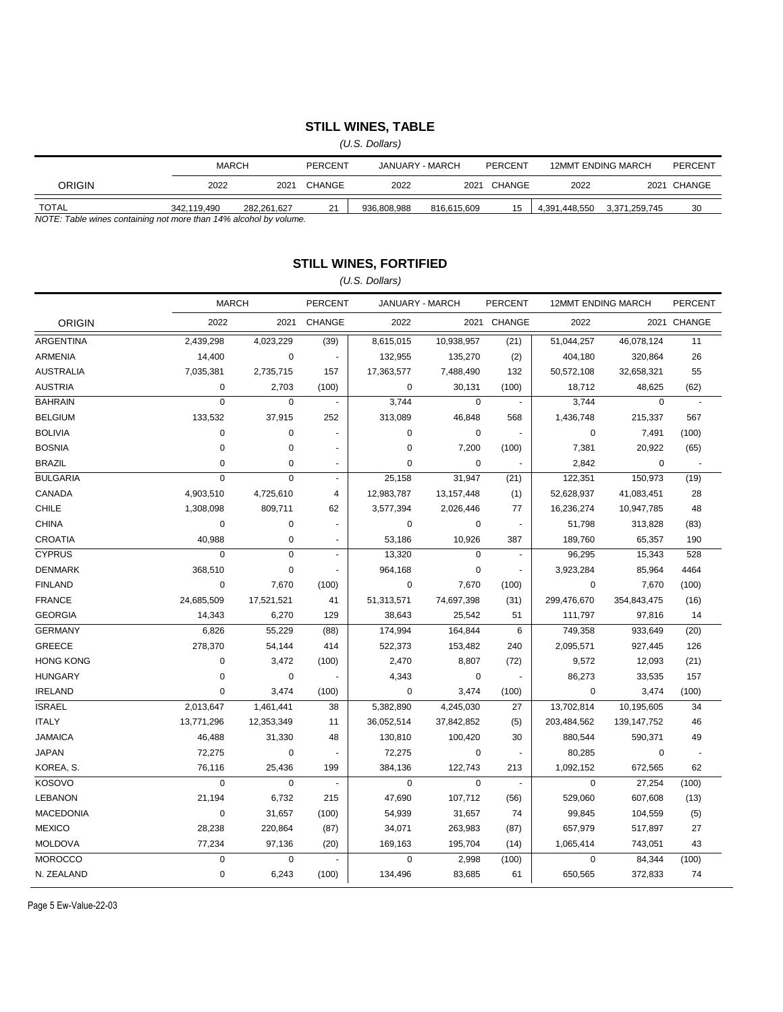## **STILL WINES, TABLE**

*(U.S. Dollars)*

|                                                                   |             | <b>MARCH</b><br>PERCENT |        | JANUARY - MARCH |             | PERCENT |               | <b>12MMT ENDING MARCH</b> | PERCENT     |
|-------------------------------------------------------------------|-------------|-------------------------|--------|-----------------|-------------|---------|---------------|---------------------------|-------------|
| ORIGIN                                                            | 2022        | 2021                    | CHANGE | 2022            | 2021        | CHANGE  | 2022          |                           | 2021 CHANGE |
| <b>TOTAL</b>                                                      | 342.119.490 | 282.261.627             | 21     | 936.808.988     | 816.615.609 | 15      | 4.391.448.550 | 3.371.259.745             | 30          |
| NOTE: Table wines containing not more than 14% alcohol by volume. |             |                         |        |                 |             |         |               |                           |             |

*NOTE: Table wines containing not more than 14% alcohol by volume.*

### **STILL WINES, FORTIFIED**

### *(U.S. Dollars)*

|                  | <b>MARCH</b> |             | <b>PERCENT</b> | JANUARY - MARCH |             | <b>PERCENT</b>           | <b>12MMT ENDING MARCH</b> |             | <b>PERCENT</b>           |
|------------------|--------------|-------------|----------------|-----------------|-------------|--------------------------|---------------------------|-------------|--------------------------|
| <b>ORIGIN</b>    | 2022         | 2021        | <b>CHANGE</b>  | 2022            |             | 2021 CHANGE              | 2022                      |             | 2021 CHANGE              |
| <b>ARGENTINA</b> | 2,439,298    | 4,023,229   | (39)           | 8,615,015       | 10,938,957  | (21)                     | 51,044,257                | 46,078,124  | 11                       |
| <b>ARMENIA</b>   | 14,400       | $\mathbf 0$ | $\blacksquare$ | 132,955         | 135,270     | (2)                      | 404,180                   | 320,864     | 26                       |
| <b>AUSTRALIA</b> | 7,035,381    | 2,735,715   | 157            | 17,363,577      | 7,488,490   | 132                      | 50,572,108                | 32,658,321  | 55                       |
| <b>AUSTRIA</b>   | 0            | 2,703       | (100)          | $\mathbf 0$     | 30,131      | (100)                    | 18,712                    | 48,625      | (62)                     |
| <b>BAHRAIN</b>   | $\mathbf 0$  | $\mathbf 0$ |                | 3,744           | $\mathbf 0$ | $\overline{\phantom{a}}$ | 3,744                     | $\mathbf 0$ | $\sim$                   |
| <b>BELGIUM</b>   | 133,532      | 37,915      | 252            | 313,089         | 46,848      | 568                      | 1,436,748                 | 215,337     | 567                      |
| <b>BOLIVIA</b>   | 0            | $\mathbf 0$ |                | $\mathbf 0$     | $\pmb{0}$   |                          | $\mathbf 0$               | 7,491       | (100)                    |
| <b>BOSNIA</b>    | 0            | $\mathbf 0$ | $\sim$         | $\mathbf 0$     | 7,200       | (100)                    | 7,381                     | 20,922      | (65)                     |
| <b>BRAZIL</b>    | 0            | $\mathbf 0$ | $\blacksquare$ | 0               | 0           |                          | 2,842                     | $\mathbf 0$ | $\overline{\phantom{a}}$ |
| <b>BULGARIA</b>  | $\mathbf 0$  | $\mathbf 0$ | $\blacksquare$ | 25,158          | 31,947      | (21)                     | 122,351                   | 150,973     | (19)                     |
| CANADA           | 4,903,510    | 4,725,610   | 4              | 12,983,787      | 13,157,448  | (1)                      | 52,628,937                | 41,083,451  | 28                       |
| <b>CHILE</b>     | 1,308,098    | 809,711     | 62             | 3,577,394       | 2,026,446   | 77                       | 16,236,274                | 10,947,785  | 48                       |
| <b>CHINA</b>     | 0            | $\pmb{0}$   |                | 0               | $\pmb{0}$   | $\tilde{\phantom{a}}$    | 51,798                    | 313,828     | (83)                     |
| <b>CROATIA</b>   | 40,988       | $\mathbf 0$ | ÷,             | 53,186          | 10,926      | 387                      | 189,760                   | 65,357      | 190                      |
| <b>CYPRUS</b>    | 0            | $\pmb{0}$   | $\blacksquare$ | 13,320          | $\pmb{0}$   | $\overline{\phantom{a}}$ | 96,295                    | 15,343      | 528                      |
| <b>DENMARK</b>   | 368,510      | $\pmb{0}$   |                | 964,168         | $\pmb{0}$   | $\blacksquare$           | 3,923,284                 | 85,964      | 4464                     |
| <b>FINLAND</b>   | $\pmb{0}$    | 7,670       | (100)          | $\mathbf 0$     | 7,670       | (100)                    | $\mathbf 0$               | 7,670       | (100)                    |
| <b>FRANCE</b>    | 24,685,509   | 17,521,521  | 41             | 51,313,571      | 74,697,398  | (31)                     | 299,476,670               | 354,843,475 | (16)                     |
| <b>GEORGIA</b>   | 14,343       | 6,270       | 129            | 38,643          | 25,542      | 51                       | 111,797                   | 97,816      | 14                       |
| <b>GERMANY</b>   | 6,826        | 55,229      | (88)           | 174,994         | 164,844     | 6                        | 749,358                   | 933,649     | (20)                     |
| <b>GREECE</b>    | 278,370      | 54,144      | 414            | 522,373         | 153,482     | 240                      | 2,095,571                 | 927,445     | 126                      |
| <b>HONG KONG</b> | 0            | 3,472       | (100)          | 2,470           | 8,807       | (72)                     | 9,572                     | 12,093      | (21)                     |
| <b>HUNGARY</b>   | 0            | $\mathbf 0$ |                | 4,343           | 0           | $\blacksquare$           | 86,273                    | 33,535      | 157                      |
| <b>IRELAND</b>   | 0            | 3,474       | (100)          | $\mathbf 0$     | 3,474       | (100)                    | $\mathbf 0$               | 3,474       | (100)                    |
| <b>ISRAEL</b>    | 2,013,647    | 1,461,441   | 38             | 5,382,890       | 4,245,030   | 27                       | 13,702,814                | 10,195,605  | 34                       |
| <b>ITALY</b>     | 13,771,296   | 12,353,349  | 11             | 36,052,514      | 37,842,852  | (5)                      | 203,484,562               | 139,147,752 | 46                       |
| <b>JAMAICA</b>   | 46,488       | 31,330      | 48             | 130,810         | 100,420     | 30                       | 880,544                   | 590,371     | 49                       |
| <b>JAPAN</b>     | 72,275       | $\pmb{0}$   | $\blacksquare$ | 72,275          | 0           | $\blacksquare$           | 80,285                    | 0           | ÷,                       |
| KOREA, S.        | 76,116       | 25,436      | 199            | 384,136         | 122,743     | 213                      | 1,092,152                 | 672,565     | 62                       |
| <b>KOSOVO</b>    | $\mathbf 0$  | $\mathbf 0$ | $\blacksquare$ | $\mathbf 0$     | $\pmb{0}$   | $\blacksquare$           | $\mathbf 0$               | 27,254      | (100)                    |
| <b>LEBANON</b>   | 21,194       | 6,732       | 215            | 47,690          | 107,712     | (56)                     | 529,060                   | 607,608     | (13)                     |
| <b>MACEDONIA</b> | $\pmb{0}$    | 31,657      | (100)          | 54,939          | 31,657      | 74                       | 99,845                    | 104,559     | (5)                      |
| <b>MEXICO</b>    | 28,238       | 220,864     | (87)           | 34,071          | 263,983     | (87)                     | 657,979                   | 517,897     | 27                       |
| <b>MOLDOVA</b>   | 77,234       | 97,136      | (20)           | 169,163         | 195,704     | (14)                     | 1,065,414                 | 743,051     | 43                       |
| <b>MOROCCO</b>   | $\pmb{0}$    | $\mathbf 0$ |                | $\mathbf 0$     | 2,998       | (100)                    | $\mathbf 0$               | 84,344      | (100)                    |
| N. ZEALAND       | $\pmb{0}$    | 6,243       | (100)          | 134,496         | 83,685      | 61                       | 650,565                   | 372,833     | 74                       |

Page 5 Ew-Value-22-03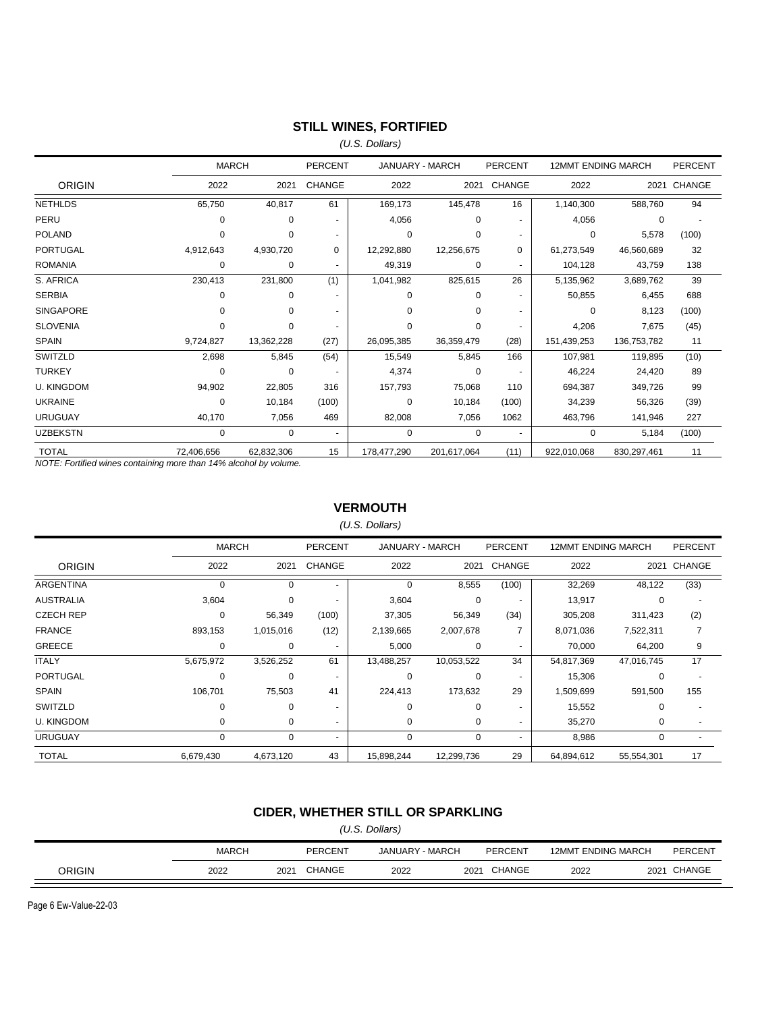## **STILL WINES, FORTIFIED**

*(U.S. Dollars)*

|                   | <b>MARCH</b> |            | <b>PERCENT</b> | JANUARY - MARCH |             | <b>PERCENT</b> | <b>12MMT ENDING MARCH</b> |             | <b>PERCENT</b> |
|-------------------|--------------|------------|----------------|-----------------|-------------|----------------|---------------------------|-------------|----------------|
| <b>ORIGIN</b>     | 2022         | 2021       | <b>CHANGE</b>  | 2022            | 2021        | <b>CHANGE</b>  | 2022                      | 2021        | CHANGE         |
| <b>NETHLDS</b>    | 65,750       | 40,817     | 61             | 169,173         | 145,478     | 16             | 1,140,300                 | 588,760     | 94             |
| PERU              | 0            | 0          |                | 4,056           | 0           |                | 4,056                     | 0           |                |
| <b>POLAND</b>     | $\Omega$     | 0          | $\overline{a}$ | $\Omega$        | 0           |                | 0                         | 5,578       | (100)          |
| <b>PORTUGAL</b>   | 4,912,643    | 4,930,720  | 0              | 12,292,880      | 12,256,675  | 0              | 61,273,549                | 46,560,689  | 32             |
| <b>ROMANIA</b>    | 0            | 0          | $\overline{a}$ | 49,319          | 0           |                | 104,128                   | 43,759      | 138            |
| S. AFRICA         | 230,413      | 231,800    | (1)            | 1,041,982       | 825,615     | 26             | 5,135,962                 | 3,689,762   | 39             |
| <b>SERBIA</b>     | $\Omega$     | 0          |                | $\Omega$        | 0           |                | 50,855                    | 6,455       | 688            |
| <b>SINGAPORE</b>  | $\Omega$     | 0          | $\blacksquare$ | $\Omega$        | $\Omega$    |                | $\Omega$                  | 8,123       | (100)          |
| <b>SLOVENIA</b>   | 0            | 0          | $\blacksquare$ | 0               | 0           |                | 4,206                     | 7,675       | (45)           |
| <b>SPAIN</b>      | 9,724,827    | 13,362,228 | (27)           | 26,095,385      | 36,359,479  | (28)           | 151,439,253               | 136,753,782 | 11             |
| SWITZLD           | 2,698        | 5,845      | (54)           | 15,549          | 5,845       | 166            | 107,981                   | 119,895     | (10)           |
| <b>TURKEY</b>     | $\Omega$     | $\Omega$   |                | 4,374           | 0           |                | 46,224                    | 24,420      | 89             |
| <b>U. KINGDOM</b> | 94,902       | 22.805     | 316            | 157,793         | 75,068      | 110            | 694.387                   | 349,726     | 99             |
| <b>UKRAINE</b>    | 0            | 10.184     | (100)          | $\Omega$        | 10.184      | (100)          | 34,239                    | 56,326      | (39)           |
| <b>URUGUAY</b>    | 40,170       | 7,056      | 469            | 82,008          | 7,056       | 1062           | 463,796                   | 141,946     | 227            |
| <b>UZBEKSTN</b>   | 0            | $\Omega$   | $\blacksquare$ | $\Omega$        | 0           |                | $\Omega$                  | 5,184       | (100)          |
| <b>TOTAL</b>      | 72,406,656   | 62,832,306 | 15             | 178,477,290     | 201,617,064 | (11)           | 922,010,068               | 830,297,461 | 11             |

*NOTE: Fortified wines containing more than 14% alcohol by volume.*

#### **VERMOUTH**

*(U.S. Dollars)*

|                   | <b>MARCH</b> |           | <b>PERCENT</b>           | <b>JANUARY - MARCH</b> |            | <b>PERCENT</b>           | <b>12MMT ENDING MARCH</b> |            | <b>PERCENT</b> |
|-------------------|--------------|-----------|--------------------------|------------------------|------------|--------------------------|---------------------------|------------|----------------|
| <b>ORIGIN</b>     | 2022         | 2021      | <b>CHANGE</b>            | 2022                   | 2021       | <b>CHANGE</b>            | 2022                      | 2021       | CHANGE         |
| ARGENTINA         | 0            | $\Omega$  | $\overline{\phantom{0}}$ | $\mathbf 0$            | 8,555      | (100)                    | 32,269                    | 48,122     | (33)           |
| <b>AUSTRALIA</b>  | 3,604        | 0         |                          | 3,604                  | 0          |                          | 13,917                    | 0          |                |
| <b>CZECH REP</b>  | 0            | 56,349    | (100)                    | 37,305                 | 56,349     | (34)                     | 305,208                   | 311,423    | (2)            |
| <b>FRANCE</b>     | 893,153      | 1,015,016 | (12)                     | 2,139,665              | 2,007,678  |                          | 8,071,036                 | 7,522,311  |                |
| <b>GREECE</b>     | 0            | $\Omega$  | ٠                        | 5,000                  | 0          | $\overline{\phantom{a}}$ | 70,000                    | 64,200     | 9              |
| <b>ITALY</b>      | 5,675,972    | 3,526,252 | 61                       | 13,488,257             | 10,053,522 | 34                       | 54,817,369                | 47,016,745 | 17             |
| <b>PORTUGAL</b>   | 0            | 0         | ٠                        | 0                      | $\Omega$   |                          | 15,306                    | 0          |                |
| <b>SPAIN</b>      | 106,701      | 75,503    | 41                       | 224,413                | 173,632    | 29                       | 1,509,699                 | 591,500    | 155            |
| SWITZLD           | 0            | 0         |                          | $\Omega$               | $\Omega$   | $\overline{\phantom{0}}$ | 15,552                    | 0          |                |
| <b>U. KINGDOM</b> | 0            | 0         | $\overline{\phantom{0}}$ | $\mathbf 0$            | 0          | ٠                        | 35,270                    | 0          |                |
| URUGUAY           | 0            | 0         | ۰                        | $\mathbf 0$            | 0          | $\overline{\phantom{a}}$ | 8,986                     | 0          |                |
| <b>TOTAL</b>      | 6,679,430    | 4,673,120 | 43                       | 15,898,244             | 12,299,736 | 29                       | 64,894,612                | 55,554,301 | 17             |

## **CIDER, WHETHER STILL OR SPARKLING**

| (U.S. Dollars) |              |                           |         |      |      |        |      |  |             |
|----------------|--------------|---------------------------|---------|------|------|--------|------|--|-------------|
|                | <b>MARCH</b> | <b>12MMT ENDING MARCH</b> | PERCENT |      |      |        |      |  |             |
| ORIGIN         | 2022         | 2021                      | CHANGE  | 2022 | 2021 | CHANGE | 2022 |  | 2021 CHANGE |

Page 6 Ew-Value-22-03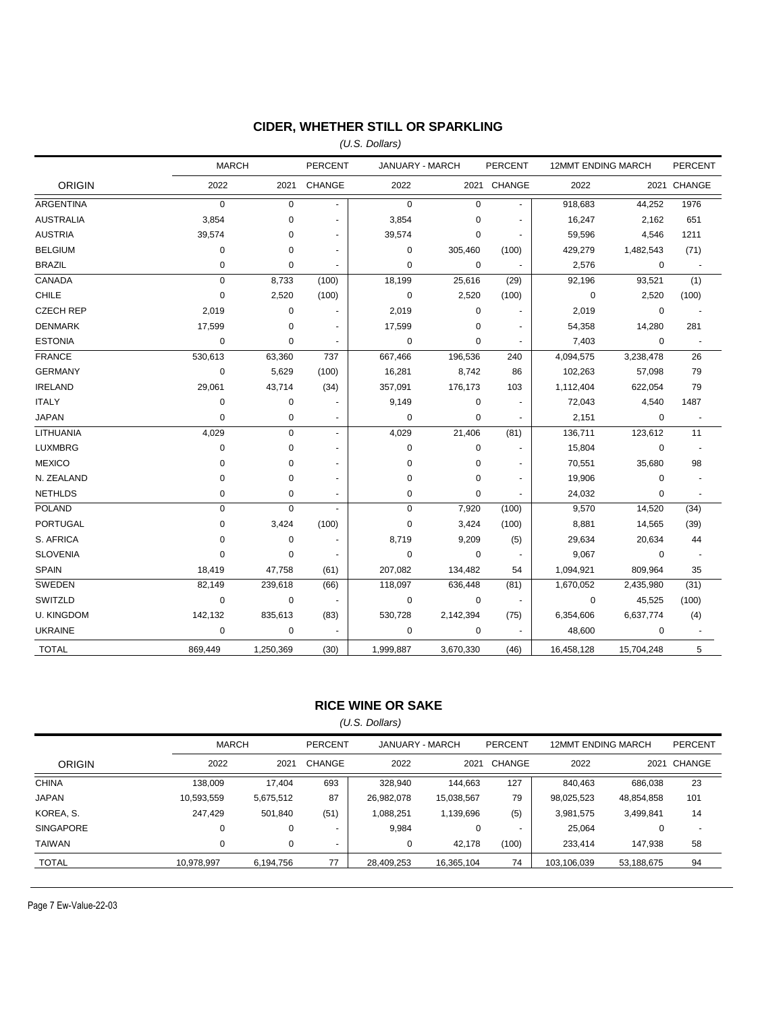## **CIDER, WHETHER STILL OR SPARKLING**

*(U.S. Dollars)*

|                   | <b>MARCH</b> |             | <b>PERCENT</b> | JANUARY - MARCH |             | PERCENT        | 12MMT ENDING MARCH |            | <b>PERCENT</b>           |
|-------------------|--------------|-------------|----------------|-----------------|-------------|----------------|--------------------|------------|--------------------------|
| <b>ORIGIN</b>     | 2022         |             | 2021 CHANGE    | 2022            |             | 2021 CHANGE    | 2022               |            | 2021 CHANGE              |
| <b>ARGENTINA</b>  | $\pmb{0}$    | $\pmb{0}$   | ÷              | $\mathbf 0$     | $\pmb{0}$   |                | 918,683            | 44,252     | 1976                     |
| <b>AUSTRALIA</b>  | 3,854        | 0           |                | 3,854           | $\mathbf 0$ |                | 16,247             | 2,162      | 651                      |
| <b>AUSTRIA</b>    | 39,574       | 0           |                | 39,574          | $\pmb{0}$   |                | 59,596             | 4,546      | 1211                     |
| <b>BELGIUM</b>    | 0            | 0           | $\blacksquare$ | $\mathbf 0$     | 305,460     | (100)          | 429,279            | 1,482,543  | (71)                     |
| <b>BRAZIL</b>     | $\mathbf 0$  | 0           |                | $\mathbf 0$     | 0           |                | 2,576              | 0          |                          |
| CANADA            | $\mathbf 0$  | 8,733       | (100)          | 18,199          | 25,616      | (29)           | 92,196             | 93,521     | (1)                      |
| <b>CHILE</b>      | 0            | 2,520       | (100)          | $\mathbf 0$     | 2,520       | (100)          | $\mathbf 0$        | 2,520      | (100)                    |
| <b>CZECH REP</b>  | 2,019        | $\pmb{0}$   |                | 2,019           | $\pmb{0}$   |                | 2,019              | $\pmb{0}$  |                          |
| <b>DENMARK</b>    | 17,599       | 0           | $\blacksquare$ | 17,599          | $\mathbf 0$ |                | 54,358             | 14,280     | 281                      |
| <b>ESTONIA</b>    | $\mathbf 0$  | 0           |                | $\mathbf 0$     | 0           |                | 7,403              | 0          | $\overline{\phantom{a}}$ |
| <b>FRANCE</b>     | 530,613      | 63,360      | 737            | 667,466         | 196,536     | 240            | 4,094,575          | 3,238,478  | 26                       |
| <b>GERMANY</b>    | $\mathbf 0$  | 5,629       | (100)          | 16,281          | 8,742       | 86             | 102,263            | 57,098     | 79                       |
| <b>IRELAND</b>    | 29,061       | 43,714      | (34)           | 357,091         | 176,173     | 103            | 1,112,404          | 622,054    | 79                       |
| <b>ITALY</b>      | $\mathbf 0$  | 0           |                | 9,149           | $\mathbf 0$ | $\blacksquare$ | 72,043             | 4,540      | 1487                     |
| <b>JAPAN</b>      | 0            | 0           |                | $\pmb{0}$       | 0           |                | 2,151              | 0          | $\ddot{\phantom{1}}$     |
| LITHUANIA         | 4,029        | $\pmb{0}$   | $\omega$       | 4,029           | 21,406      | (81)           | 136,711            | 123,612    | 11                       |
| <b>LUXMBRG</b>    | $\mathbf 0$  | 0           | $\blacksquare$ | $\mathbf 0$     | 0           |                | 15,804             | 0          | $\overline{\phantom{a}}$ |
| <b>MEXICO</b>     | 0            | 0           |                | 0               | $\pmb{0}$   |                | 70,551             | 35,680     | 98                       |
| N. ZEALAND        | 0            | $\mathbf 0$ |                | $\mathbf 0$     | $\mathbf 0$ |                | 19,906             | 0          |                          |
| <b>NETHLDS</b>    | 0            | 0           | ٠              | 0               | 0           | $\sim$         | 24,032             | 0          | $\blacksquare$           |
| <b>POLAND</b>     | $\mathbf 0$  | 0           | $\blacksquare$ | 0               | 7,920       | (100)          | 9,570              | 14,520     | (34)                     |
| PORTUGAL          | $\mathbf 0$  | 3,424       | (100)          | 0               | 3,424       | (100)          | 8,881              | 14,565     | (39)                     |
| S. AFRICA         | 0            | 0           |                | 8,719           | 9,209       | (5)            | 29,634             | 20,634     | 44                       |
| <b>SLOVENIA</b>   | 0            | 0           |                | $\mathbf 0$     | 0           |                | 9,067              | 0          | $\blacksquare$           |
| <b>SPAIN</b>      | 18,419       | 47,758      | (61)           | 207,082         | 134,482     | 54             | 1,094,921          | 809,964    | 35                       |
| SWEDEN            | 82,149       | 239,618     | (66)           | 118,097         | 636,448     | (81)           | 1,670,052          | 2,435,980  | (31)                     |
| SWITZLD           | $\mathbf 0$  | $\mathbf 0$ | $\blacksquare$ | $\mathbf 0$     | 0           | $\blacksquare$ | $\mathbf 0$        | 45,525     | (100)                    |
| <b>U. KINGDOM</b> | 142,132      | 835,613     | (83)           | 530,728         | 2,142,394   | (75)           | 6,354,606          | 6,637,774  | (4)                      |
| <b>UKRAINE</b>    | $\mathbf 0$  | 0           |                | $\mathbf 0$     | 0           |                | 48,600             | 0          | $\sim$                   |
| <b>TOTAL</b>      | 869,449      | 1,250,369   | (30)           | 1,999,887       | 3,670,330   | (46)           | 16,458,128         | 15,704,248 | 5                        |

### **RICE WINE OR SAKE**

*(U.S. Dollars)*

|                  | <b>MARCH</b> |           | <b>PERCENT</b><br>JANUARY - MARCH |            | PERCENT<br><b>12MMT ENDING MARCH</b> |        |             | <b>PERCENT</b> |                          |
|------------------|--------------|-----------|-----------------------------------|------------|--------------------------------------|--------|-------------|----------------|--------------------------|
| <b>ORIGIN</b>    | 2022         | 2021      | CHANGE                            | 2022       | 2021                                 | CHANGE | 2022        | 2021           | CHANGE                   |
| <b>CHINA</b>     | 138.009      | 17.404    | 693                               | 328,940    | 144.663                              | 127    | 840.463     | 686.038        | 23                       |
| JAPAN            | 10,593,559   | 5,675,512 | 87                                | 26,982,078 | 15,038,567                           | 79     | 98,025,523  | 48,854,858     | 101                      |
| KOREA, S.        | 247.429      | 501.840   | (51)                              | 1,088,251  | 1,139,696                            | (5)    | 3,981,575   | 3,499,841      | 14                       |
| <b>SINGAPORE</b> | 0            |           | $\overline{a}$                    | 9,984      | 0                                    | $\sim$ | 25,064      |                | $\overline{\phantom{a}}$ |
| TAIWAN           | 0            |           |                                   | 0          | 42.178                               | (100)  | 233.414     | 147.938        | 58                       |
| <b>TOTAL</b>     | 10,978,997   | 6,194,756 | 77                                | 28,409,253 | 16,365,104                           | 74     | 103,106,039 | 53,188,675     | 94                       |

Page 7 Ew-Value-22-03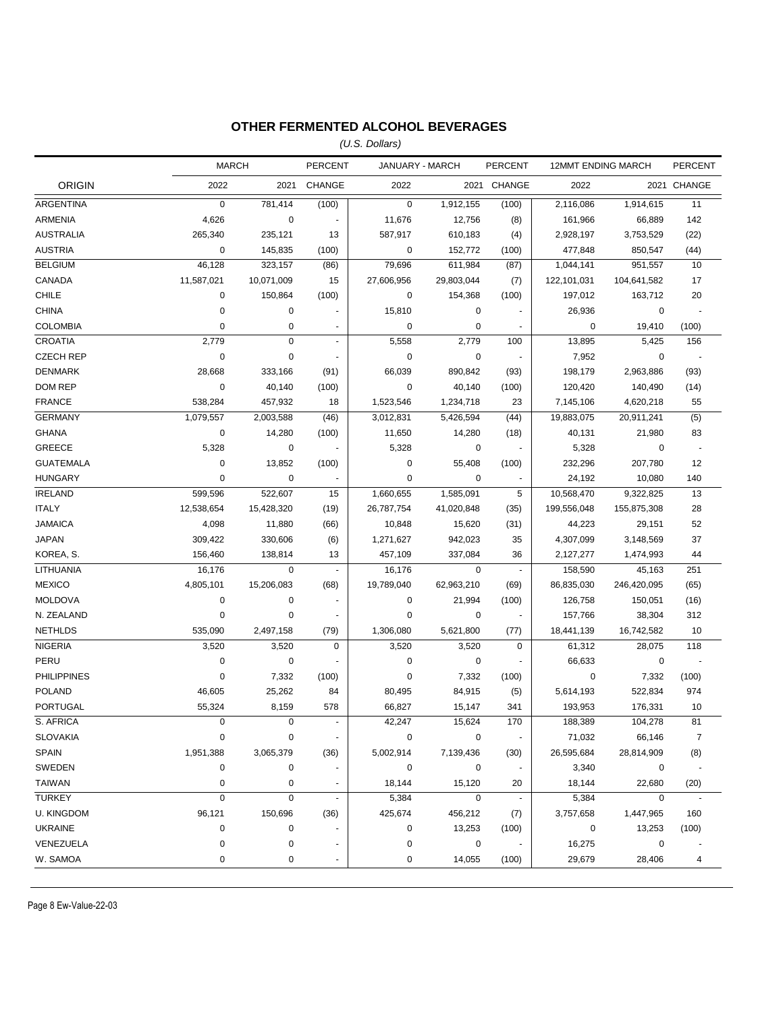## **OTHER FERMENTED ALCOHOL BEVERAGES**

*(U.S. Dollars)*

|                    | <b>MARCH</b> |             | <b>PERCENT</b> | JANUARY - MARCH |            | <b>PERCENT</b>           | <b>12MMT ENDING MARCH</b> |             | <b>PERCENT</b>           |
|--------------------|--------------|-------------|----------------|-----------------|------------|--------------------------|---------------------------|-------------|--------------------------|
| <b>ORIGIN</b>      | 2022         |             | 2021 CHANGE    | 2022            |            | 2021 CHANGE              | 2022                      |             | 2021 CHANGE              |
| ARGENTINA          | $\mathbf 0$  | 781,414     | (100)          | $\mathbf 0$     | 1,912,155  | (100)                    | 2,116,086                 | 1,914,615   | 11                       |
| <b>ARMENIA</b>     | 4,626        | $\mathbf 0$ |                | 11,676          | 12,756     | (8)                      | 161,966                   | 66,889      | 142                      |
| <b>AUSTRALIA</b>   | 265,340      | 235,121     | 13             | 587,917         | 610,183    | (4)                      | 2,928,197                 | 3,753,529   | (22)                     |
| <b>AUSTRIA</b>     | 0            | 145,835     | (100)          | 0               | 152,772    | (100)                    | 477,848                   | 850,547     | (44)                     |
| <b>BELGIUM</b>     | 46,128       | 323,157     | (86)           | 79,696          | 611,984    | (87)                     | 1,044,141                 | 951,557     | 10                       |
| CANADA             | 11,587,021   | 10,071,009  | 15             | 27,606,956      | 29,803,044 | (7)                      | 122,101,031               | 104,641,582 | 17                       |
| <b>CHILE</b>       | 0            | 150,864     | (100)          | 0               | 154,368    | (100)                    | 197,012                   | 163,712     | 20                       |
| <b>CHINA</b>       | 0            | $\pmb{0}$   |                | 15,810          | 0          |                          | 26,936                    | 0           | $\blacksquare$           |
| <b>COLOMBIA</b>    | $\pmb{0}$    | 0           | $\blacksquare$ | 0               | 0          |                          | $\mathbf 0$               | 19,410      | (100)                    |
| <b>CROATIA</b>     | 2,779        | $\mathbf 0$ |                | 5,558           | 2,779      | 100                      | 13,895                    | 5,425       | 156                      |
| <b>CZECH REP</b>   | $\pmb{0}$    | 0           | $\blacksquare$ | $\mathbf 0$     | 0          | $\overline{\phantom{a}}$ | 7,952                     | $\mathbf 0$ | $\sim$                   |
| <b>DENMARK</b>     | 28,668       | 333,166     | (91)           | 66,039          | 890,842    | (93)                     | 198,179                   | 2,963,886   | (93)                     |
| <b>DOM REP</b>     | $\mathbf 0$  | 40,140      | (100)          | 0               | 40,140     | (100)                    | 120,420                   | 140,490     | (14)                     |
| <b>FRANCE</b>      | 538,284      | 457,932     | 18             | 1,523,546       | 1,234,718  | 23                       | 7,145,106                 | 4,620,218   | 55                       |
| <b>GERMANY</b>     | 1,079,557    | 2,003,588   | (46)           | 3,012,831       | 5,426,594  | (44)                     | 19,883,075                | 20,911,241  | (5)                      |
| <b>GHANA</b>       | $\pmb{0}$    | 14,280      | (100)          | 11,650          | 14,280     | (18)                     | 40,131                    | 21,980      | 83                       |
| <b>GREECE</b>      | 5,328        | 0           |                | 5,328           | 0          | $\blacksquare$           | 5,328                     | $\pmb{0}$   | $\overline{\phantom{a}}$ |
| <b>GUATEMALA</b>   | $\mathbf 0$  | 13,852      | (100)          | 0               | 55,408     | (100)                    | 232,296                   | 207,780     | 12                       |
| <b>HUNGARY</b>     | $\mathbf 0$  | $\mathbf 0$ |                | 0               | 0          |                          | 24,192                    | 10,080      | 140                      |
| <b>IRELAND</b>     | 599,596      | 522,607     | 15             | 1,660,655       | 1,585,091  | 5                        | 10,568,470                | 9,322,825   | 13                       |
| <b>ITALY</b>       | 12,538,654   | 15,428,320  | (19)           | 26,787,754      | 41,020,848 | (35)                     | 199,556,048               | 155,875,308 | 28                       |
| <b>JAMAICA</b>     | 4,098        | 11,880      | (66)           | 10,848          | 15,620     | (31)                     | 44,223                    | 29,151      | 52                       |
| <b>JAPAN</b>       | 309,422      | 330,606     | (6)            | 1,271,627       | 942,023    | 35                       | 4,307,099                 | 3,148,569   | 37                       |
| KOREA, S.          | 156,460      | 138,814     | 13             | 457,109         | 337,084    | 36                       | 2,127,277                 | 1,474,993   | 44                       |
| LITHUANIA          | 16,176       | 0           | $\blacksquare$ | 16,176          | 0          | $\blacksquare$           | 158,590                   | 45,163      | 251                      |
| <b>MEXICO</b>      | 4,805,101    | 15,206,083  | (68)           | 19,789,040      | 62,963,210 | (69)                     | 86,835,030                | 246,420,095 | (65)                     |
| <b>MOLDOVA</b>     | 0            | 0           | ٠              | 0               | 21,994     | (100)                    | 126,758                   | 150,051     | (16)                     |
| N. ZEALAND         | $\pmb{0}$    | 0           |                | 0               | 0          | $\blacksquare$           | 157,766                   | 38,304      | 312                      |
| <b>NETHLDS</b>     | 535,090      | 2,497,158   | (79)           | 1,306,080       | 5,621,800  | (77)                     | 18,441,139                | 16,742,582  | 10                       |
| <b>NIGERIA</b>     | 3,520        | 3,520       | $\mathbf 0$    | 3,520           | 3,520      | $\mathbf 0$              | 61,312                    | 28,075      | 118                      |
| PERU               | $\mathbf 0$  | $\pmb{0}$   |                | $\mathbf 0$     | 0          |                          | 66,633                    | $\mathbf 0$ | $\sim$                   |
| <b>PHILIPPINES</b> | $\mathbf 0$  | 7,332       | (100)          | $\mathbf 0$     | 7,332      | (100)                    | $\mathbf 0$               | 7,332       | (100)                    |
| <b>POLAND</b>      | 46,605       | 25,262      | 84             | 80,495          | 84,915     | (5)                      | 5,614,193                 | 522,834     | 974                      |
| <b>PORTUGAL</b>    | 55,324       | 8,159       | 578            | 66,827          | 15,147     | 341                      | 193,953                   | 176,331     | 10                       |
| S. AFRICA          | $\mathbf 0$  | $\mathbf 0$ | $\omega$       | 42,247          | 15,624     | 170                      | 188,389                   | 104,278     | 81                       |
| <b>SLOVAKIA</b>    | 0            | 0           |                | 0               | 0          |                          | 71,032                    | 66,146      | 7                        |
| <b>SPAIN</b>       | 1,951,388    | 3,065,379   | (36)           | 5,002,914       | 7,139,436  | (30)                     | 26,595,684                | 28,814,909  | (8)                      |
| SWEDEN             | 0            | 0           |                | 0               | 0          | $\overline{\phantom{a}}$ | 3,340                     | 0           | $\overline{\phantom{a}}$ |
| TAIWAN             | 0            | 0           |                | 18,144          | 15,120     | 20                       | 18,144                    | 22,680      | (20)                     |
| <b>TURKEY</b>      | $\pmb{0}$    | 0           | $\blacksquare$ | 5,384           | 0          | $\overline{\phantom{a}}$ | 5,384                     | $\pmb{0}$   | $\blacksquare$           |
| <b>U. KINGDOM</b>  | 96,121       | 150,696     | (36)           | 425,674         | 456,212    | (7)                      | 3,757,658                 | 1,447,965   | 160                      |
| <b>UKRAINE</b>     | 0            | 0           |                | 0               | 13,253     | (100)                    | 0                         | 13,253      | (100)                    |
| VENEZUELA          | 0            | 0           |                | 0               | 0          |                          | 16,275                    | 0           |                          |
| W. SAMOA           | 0            | 0           |                | 0               | 14,055     | (100)                    | 29,679                    | 28,406      | 4                        |
|                    |              |             |                |                 |            |                          |                           |             |                          |

Page 8 Ew-Value-22-03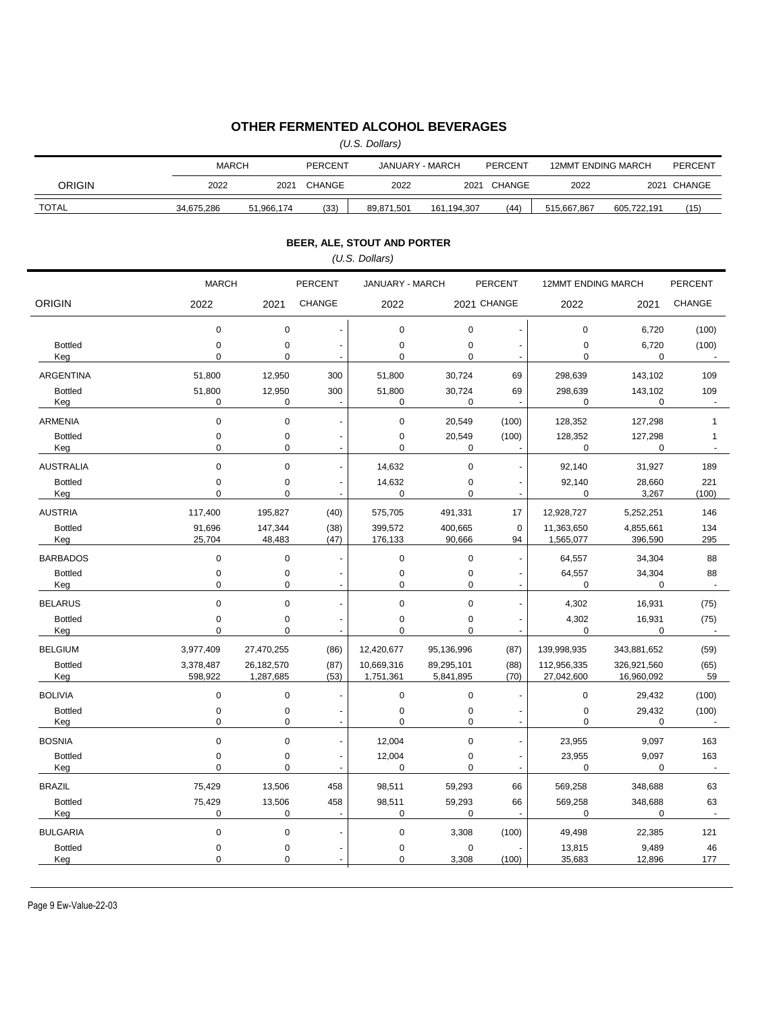## **OTHER FERMENTED ALCOHOL BEVERAGES**

*(U.S. Dollars)*

|                                   | <b>MARCH</b>     |                            | <b>PERCENT</b> |                             | JANUARY - MARCH<br><b>PERCENT</b> |                          | <b>12MMT ENDING MARCH</b> |                        | <b>PERCENT</b>       |
|-----------------------------------|------------------|----------------------------|----------------|-----------------------------|-----------------------------------|--------------------------|---------------------------|------------------------|----------------------|
| ORIGIN                            | 2022             |                            | 2021 CHANGE    | 2022                        |                                   | 2021 CHANGE              | 2022                      |                        | 2021 CHANGE          |
| <b>TOTAL</b>                      | 34,675,286       | 51,966,174                 | (33)           | 89,871,501                  | 161, 194, 307                     | (44)                     | 515,667,867               | 605,722,191            | (15)                 |
|                                   |                  |                            |                | BEER, ALE, STOUT AND PORTER |                                   |                          |                           |                        |                      |
|                                   |                  |                            |                | (U.S. Dollars)              |                                   |                          |                           |                        |                      |
|                                   | <b>MARCH</b>     |                            | <b>PERCENT</b> | JANUARY - MARCH             |                                   | <b>PERCENT</b>           | <b>12MMT ENDING MARCH</b> |                        | <b>PERCENT</b>       |
| <b>ORIGIN</b>                     | 2022             | 2021                       | <b>CHANGE</b>  | 2022                        |                                   | 2021 CHANGE              | 2022                      | 2021                   | CHANGE               |
|                                   |                  |                            |                |                             |                                   |                          |                           |                        |                      |
| <b>Bottled</b>                    | 0<br>0           | $\mathbf 0$<br>$\mathbf 0$ |                | $\mathbf 0$<br>$\pmb{0}$    | 0<br>0                            | ä,                       | 0<br>0                    | 6,720<br>6,720         | (100)<br>(100)       |
| Keg                               | 0                | 0                          |                | $\mathbf 0$                 | 0                                 | $\ddot{\phantom{0}}$     | 0                         | 0                      |                      |
| <b>ARGENTINA</b>                  | 51,800           | 12,950                     | 300            | 51,800                      | 30,724                            | 69                       | 298,639                   | 143,102                | 109                  |
| <b>Bottled</b>                    | 51,800           | 12,950                     | 300            | 51,800                      | 30,724                            | 69                       | 298,639                   | 143,102                | 109                  |
| Keg                               | 0                | 0                          |                | 0                           | 0                                 |                          | 0                         | $\mathbf 0$            |                      |
| ARMENIA                           | 0                | 0                          |                | $\mathbf 0$                 | 20,549                            | (100)                    | 128,352                   | 127,298                | $\mathbf{1}$         |
| <b>Bottled</b><br>Keg             | 0<br>0           | 0<br>0                     |                | $\pmb{0}$<br>$\mathbf 0$    | 20,549<br>0                       | (100)                    | 128,352<br>$\mathbf 0$    | 127,298<br>0           | $\mathbf{1}$         |
| <b>AUSTRALIA</b>                  | 0                | $\mathbf 0$                |                | 14,632                      | 0                                 | $\ddot{\phantom{0}}$     | 92,140                    | 31,927                 | 189                  |
| <b>Bottled</b>                    | 0                | $\pmb{0}$                  |                | 14,632                      | 0                                 | ÷                        | 92,140                    | 28,660                 | 221                  |
| Keg                               | 0                | $\mathbf 0$                |                | 0                           | 0                                 | ä,                       | 0                         | 3,267                  | (100)                |
| <b>AUSTRIA</b>                    | 117,400          | 195,827                    | (40)           | 575,705                     | 491,331                           | 17                       | 12,928,727                | 5,252,251              | 146                  |
| <b>Bottled</b><br>Keg             | 91,696<br>25,704 | 147,344<br>48,483          | (38)<br>(47)   | 399,572<br>176,133          | 400,665<br>90,666                 | 0<br>94                  | 11,363,650<br>1,565,077   | 4,855,661<br>396,590   | 134<br>295           |
| <b>BARBADOS</b>                   | 0                | $\mathbf 0$                |                | $\mathbf 0$                 | 0                                 | ÷,                       | 64,557                    | 34,304                 | 88                   |
| <b>Bottled</b>                    | 0                | 0                          |                | $\pmb{0}$                   | 0                                 | ٠                        | 64,557                    | 34,304                 | 88                   |
| Keg                               | 0                | 0                          |                | $\mathbf 0$                 | 0                                 | $\blacksquare$           | 0                         | $\mathbf 0$            |                      |
| <b>BELARUS</b>                    | 0                | $\mathbf 0$                |                | $\mathbf 0$                 | 0                                 | ÷                        | 4,302                     | 16,931                 | (75)                 |
| <b>Bottled</b><br>Keg             | 0<br>0           | 0<br>$\mathbf 0$           |                | $\pmb{0}$<br>$\mathbf 0$    | 0<br>0                            | $\ddot{\phantom{0}}$     | 4,302<br>0                | 16,931<br>0            | (75)                 |
| <b>BELGIUM</b>                    | 3,977,409        | 27,470,255                 | (86)           | 12,420,677                  | 95,136,996                        | (87)                     | 139,998,935               | 343,881,652            | (59)                 |
| <b>Bottled</b>                    | 3,378,487        | 26,182,570                 | (87)           | 10,669,316                  | 89,295,101                        | (88)                     | 112,956,335               | 326,921,560            | (65)                 |
| Keg                               | 598,922          | 1,287,685                  | (53)           | 1,751,361                   | 5,841,895                         | (70)                     | 27,042,600                | 16,960,092             | 59                   |
| <b>BOLIVIA</b>                    | 0                | $\mathbf 0$                |                | $\mathbf 0$                 | 0                                 | ÷,                       | 0                         | 29,432                 | (100)                |
| <b>Bottled</b><br>Keg             | 0<br>0           | 0<br>0                     |                | 0<br>0                      | 0<br>0                            |                          | 0<br>0                    | 29,432<br>0            | (100)                |
| <b>BOSNIA</b>                     | 0                | 0                          |                | 12,004                      | 0                                 | $\blacksquare$           | 23,955                    | 9,097                  | 163                  |
| <b>Bottled</b>                    | 0                | 0                          |                | 12,004                      | 0                                 | $\overline{\phantom{a}}$ | 23,955                    | 9,097                  | 163                  |
| Keg                               | 0                | $\mathbf 0$                |                | $\mathbf 0$                 | 0                                 | $\sim$                   | 0                         | 0                      | $\blacksquare$       |
| <b>BRAZIL</b>                     | 75,429           | 13,506                     | 458            | 98,511                      | 59,293                            | 66                       | 569,258                   | 348,688                | 63                   |
| <b>Bottled</b>                    | 75,429<br>0      | 13,506<br>0                | 458            | 98,511<br>0                 | 59,293<br>0                       | 66                       | 569,258<br>0              | 348,688<br>$\mathbf 0$ | 63<br>$\blacksquare$ |
| Keg                               |                  |                            |                |                             |                                   |                          |                           |                        |                      |
| <b>BULGARIA</b><br><b>Bottled</b> | 0<br>0           | $\pmb{0}$<br>0             |                | $\pmb{0}$<br>0              | 3,308<br>0                        | (100)                    | 49,498<br>13,815          | 22,385<br>9,489        | 121<br>46            |
| Keg                               | 0                | 0                          |                | 0                           | 3,308                             | (100)                    | 35,683                    | 12,896                 | 177                  |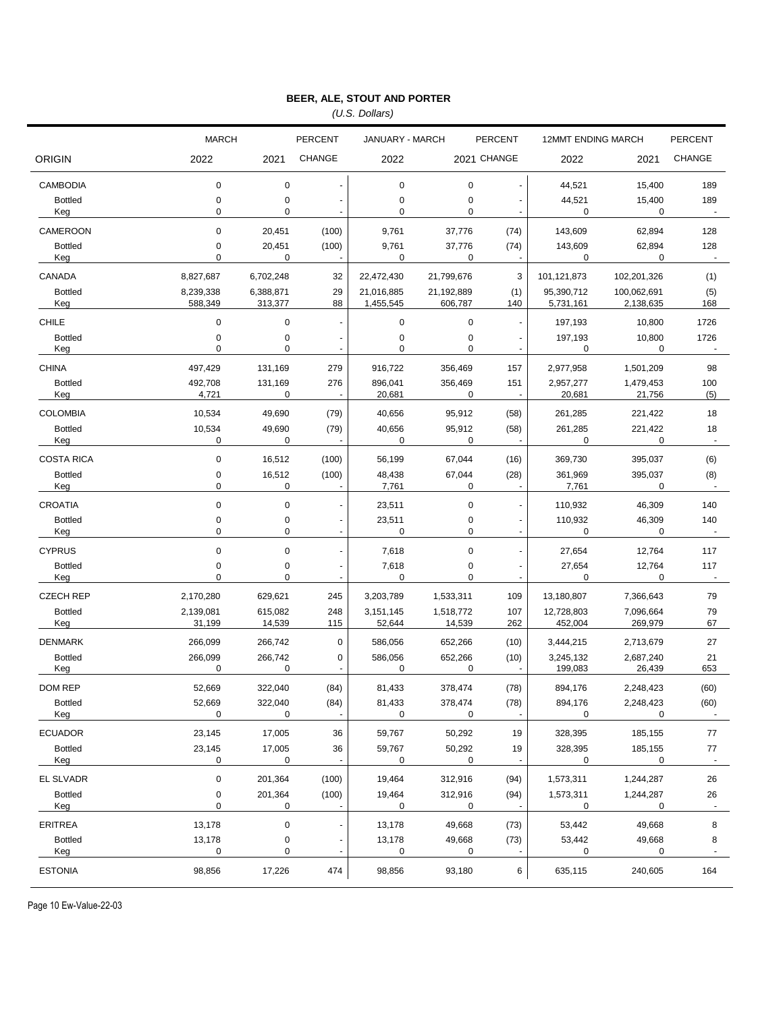*(U.S. Dollars)*

|                       | <b>MARCH</b>             |                      | <b>PERCENT</b>                  | JANUARY - MARCH         |                       | <b>PERCENT</b>                             | <b>12MMT ENDING MARCH</b> |                          | <b>PERCENT</b>       |  |
|-----------------------|--------------------------|----------------------|---------------------------------|-------------------------|-----------------------|--------------------------------------------|---------------------------|--------------------------|----------------------|--|
| ORIGIN                | 2022                     | 2021                 | <b>CHANGE</b>                   | 2022                    |                       | 2021 CHANGE                                | 2022                      | 2021                     | <b>CHANGE</b>        |  |
| <b>CAMBODIA</b>       | $\mathbf 0$              | 0                    | ł,                              | $\mathbf 0$             | 0                     | $\overline{\phantom{a}}$                   | 44,521                    | 15,400                   | 189                  |  |
| <b>Bottled</b><br>Keg | $\mathbf 0$<br>0         | 0<br>0               |                                 | 0<br>$\mathbf 0$        | $\pmb{0}$<br>0        |                                            | 44,521<br>0               | 15,400<br>0              | 189                  |  |
| CAMEROON              | $\mathbf 0$              | 20,451               | (100)                           | 9,761                   | 37,776                | (74)                                       | 143,609                   | 62,894                   | 128                  |  |
| <b>Bottled</b><br>Keg | $\pmb{0}$<br>$\mathbf 0$ | 20,451<br>0          | (100)                           | 9,761<br>0              | 37,776<br>0           | (74)                                       | 143,609<br>0              | 62,894<br>0              | 128                  |  |
| CANADA                | 8,827,687                | 6,702,248            | 32                              | 22,472,430              | 21,799,676            | 3                                          | 101,121,873               | 102,201,326              | (1)                  |  |
| <b>Bottled</b><br>Keg | 8,239,338<br>588,349     | 6,388,871<br>313,377 | 29<br>88                        | 21,016,885<br>1,455,545 | 21,192,889<br>606,787 | (1)<br>140                                 | 95,390,712<br>5,731,161   | 100,062,691<br>2,138,635 | (5)<br>168           |  |
| <b>CHILE</b>          | 0                        | 0                    | ä,                              | 0                       | 0                     | ÷,                                         | 197,193                   | 10,800                   | 1726                 |  |
| <b>Bottled</b><br>Keg | 0<br>$\mathbf 0$         | 0<br>0               |                                 | $\mathbf 0$<br>0        | 0<br>$\pmb{0}$        |                                            | 197,193<br>0              | 10,800<br>0              | 1726                 |  |
| <b>CHINA</b>          | 497,429                  | 131,169              | 279                             | 916,722                 | 356,469               | 157                                        | 2,977,958                 | 1,501,209                | 98                   |  |
| <b>Bottled</b><br>Keg | 492,708<br>4,721         | 131,169<br>0         | 276<br>L,                       | 896,041<br>20,681       | 356,469<br>0          | 151<br>ä,                                  | 2,957,277<br>20,681       | 1,479,453<br>21,756      | 100<br>(5)           |  |
| <b>COLOMBIA</b>       | 10,534                   | 49,690               | (79)                            | 40,656                  | 95,912                | (58)                                       | 261,285                   | 221,422                  | 18                   |  |
| <b>Bottled</b><br>Keg | 10,534<br>0              | 49,690<br>0          | (79)                            | 40,656<br>0             | 95,912<br>0           | (58)                                       | 261,285<br>0              | 221,422<br>0             | 18                   |  |
| <b>COSTA RICA</b>     | $\mathbf 0$              | 16,512               | (100)                           | 56,199                  | 67,044                | (16)                                       | 369,730                   | 395,037                  | (6)                  |  |
| <b>Bottled</b><br>Keg | $\pmb{0}$<br>0           | 16,512<br>0          | (100)                           | 48,438<br>7,761         | 67,044<br>0           | (28)                                       | 361,969<br>7,761          | 395,037<br>0             | (8)                  |  |
| <b>CROATIA</b>        | $\mathbf 0$              | 0                    | ł,                              | 23,511                  | $\pmb{0}$             | $\blacksquare$                             | 110,932                   | 46,309                   | 140                  |  |
| <b>Bottled</b><br>Keg | 0<br>0                   | 0<br>0               | $\frac{1}{2}$<br>$\blacksquare$ | 23,511<br>0             | 0<br>0                | $\overline{\phantom{a}}$<br>$\blacksquare$ | 110,932<br>0              | 46,309<br>0              | 140                  |  |
| <b>CYPRUS</b>         | $\pmb{0}$                | $\mathbf 0$          | $\ddot{\phantom{0}}$            | 7,618                   | $\pmb{0}$             | ÷,                                         | 27,654                    | 12,764                   | 117                  |  |
| <b>Bottled</b><br>Keg | 0<br>0                   | 0<br>0               | $\overline{a}$<br>ä,            | 7,618<br>$\mathbf 0$    | 0<br>0                | $\overline{\phantom{a}}$<br>$\blacksquare$ | 27,654<br>0               | 12,764<br>0              | 117                  |  |
| <b>CZECH REP</b>      | 2,170,280                | 629,621              | 245                             | 3,203,789               | 1,533,311             | 109                                        | 13,180,807                | 7,366,643                | 79                   |  |
| <b>Bottled</b><br>Keg | 2,139,081<br>31,199      | 615,082<br>14,539    | 248<br>115                      | 3,151,145<br>52,644     | 1,518,772<br>14,539   | 107<br>262                                 | 12,728,803<br>452,004     | 7,096,664<br>269,979     | 79<br>67             |  |
| <b>DENMARK</b>        | 266,099                  | 266,742              | 0                               | 586,056                 | 652,266               | (10)                                       | 3,444,215                 | 2,713,679                | 27                   |  |
| <b>Bottled</b><br>Keg | 266,099<br>$\mathbf 0$   | 266,742<br>0         | 0                               | 586,056<br>$\mathbf 0$  | 652,266<br>0          | (10)                                       | 3,245,132<br>199,083      | 2,687,240<br>26,439      | 21<br>653            |  |
| DOM REP               | 52,669                   | 322,040              | (84)                            | 81,433                  | 378,474               | (78)                                       | 894,176                   | 2,248,423                | (60)                 |  |
| <b>Bottled</b><br>Keg | 52,669<br>0              | 322,040<br>0         | (84)                            | 81,433<br>0             | 378,474<br>0          | (78)                                       | 894,176<br>0              | 2,248,423<br>0           | (60)                 |  |
| <b>ECUADOR</b>        | 23,145                   | 17,005               | 36                              | 59,767                  | 50,292                | 19                                         | 328,395                   | 185,155                  | 77                   |  |
| <b>Bottled</b><br>Keg | 23,145<br>0              | 17,005<br>0          | 36<br>÷,                        | 59,767<br>0             | 50,292<br>0           | 19<br>$\blacksquare$                       | 328,395<br>0              | 185,155<br>0             | 77<br>$\blacksquare$ |  |
| EL SLVADR             | $\pmb{0}$                | 201,364              | (100)                           | 19,464                  | 312,916               | (94)                                       | 1,573,311                 | 1,244,287                | 26                   |  |
| <b>Bottled</b><br>Keg | 0<br>$\mathbf 0$         | 201,364<br>0         | (100)                           | 19,464<br>0             | 312,916<br>0          | (94)<br>$\overline{\phantom{a}}$           | 1,573,311<br>0            | 1,244,287<br>0           | 26<br>$\blacksquare$ |  |
| <b>ERITREA</b>        | 13,178                   | $\pmb{0}$            |                                 | 13,178                  | 49,668                | (73)                                       | 53,442                    | 49,668                   | 8                    |  |
| <b>Bottled</b><br>Keg | 13,178<br>0              | 0<br>0               | $\blacksquare$                  | 13,178<br>0             | 49,668<br>0           | (73)<br>$\overline{\phantom{a}}$           | 53,442<br>0               | 49,668<br>0              | 8<br>$\blacksquare$  |  |
| <b>ESTONIA</b>        | 98,856                   | 17,226               | 474                             | 98,856                  | 93,180                | 6                                          | 635,115                   | 240,605                  | 164                  |  |

Page 10 Ew-Value-22-03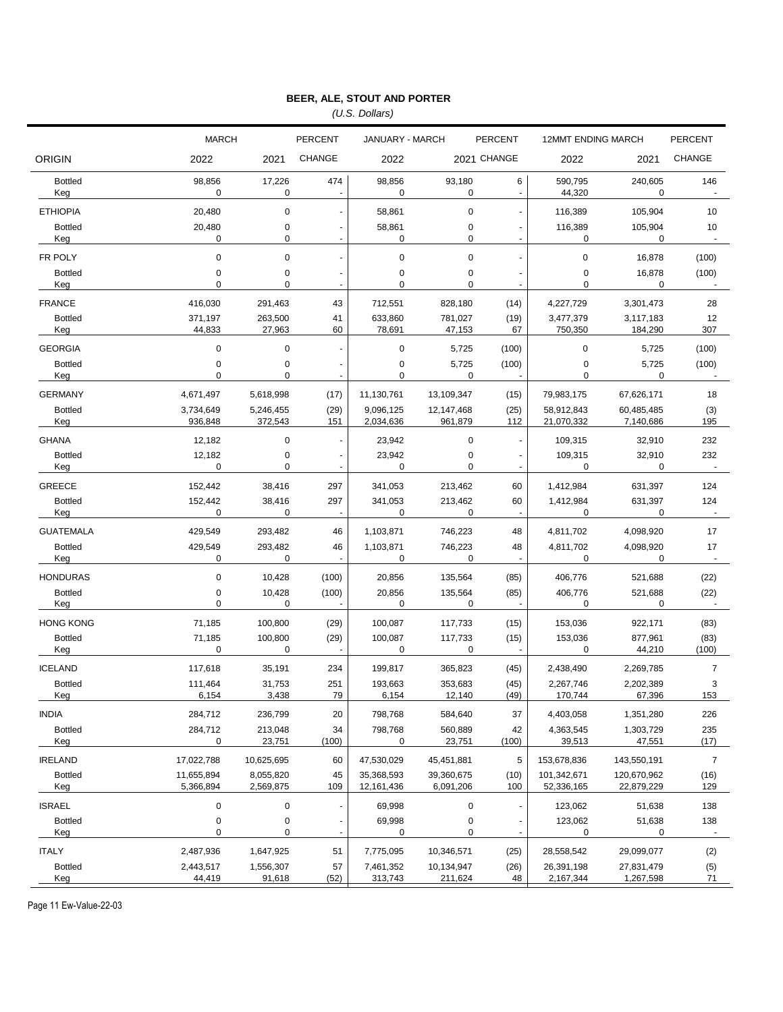*(U.S. Dollars)*

|                       | <b>MARCH</b>            |                        | <b>PERCENT</b> | <b>JANUARY - MARCH</b>     |                         | <b>PERCENT</b>           |                           | <b>12MMT ENDING MARCH</b> |                       |
|-----------------------|-------------------------|------------------------|----------------|----------------------------|-------------------------|--------------------------|---------------------------|---------------------------|-----------------------|
| <b>ORIGIN</b>         | 2022                    | 2021                   | <b>CHANGE</b>  | 2022                       |                         | 2021 CHANGE              | 2022                      | 2021                      | <b>CHANGE</b>         |
| <b>Bottled</b><br>Keg | 98,856<br>0             | 17,226<br>0            | 474            | 98,856<br>0                | 93,180<br>0             | 6<br>$\blacksquare$      | 590,795<br>44,320         | 240,605<br>0              | 146<br>$\blacksquare$ |
| <b>ETHIOPIA</b>       | 20,480                  | 0                      |                | 58,861                     | 0                       |                          | 116,389                   | 105,904                   | 10                    |
| <b>Bottled</b><br>Keg | 20,480<br>0             | 0<br>0                 |                | 58,861<br>0                | 0<br>0                  | $\overline{\phantom{a}}$ | 116,389<br>0              | 105,904<br>0              | 10<br>$\sim$          |
| FR POLY               | $\mathbf 0$             | 0                      |                | $\mathbf 0$                | 0                       |                          | 0                         | 16,878                    | (100)                 |
| <b>Bottled</b><br>Keg | 0<br>0                  | 0<br>$\Omega$          |                | $\mathbf 0$<br>$\Omega$    | 0<br>0                  |                          | 0<br>$\Omega$             | 16,878<br>0               | (100)                 |
| <b>FRANCE</b>         | 416.030                 | 291,463                | 43             | 712,551                    | 828,180                 | (14)                     | 4,227,729                 | 3,301,473                 | 28                    |
| <b>Bottled</b><br>Keg | 371,197<br>44,833       | 263,500<br>27,963      | 41<br>60       | 633,860<br>78,691          | 781,027<br>47,153       | (19)<br>67               | 3,477,379<br>750,350      | 3,117,183<br>184,290      | 12<br>307             |
| <b>GEORGIA</b>        | 0                       | 0                      |                | 0                          | 5,725                   | (100)                    | $\pmb{0}$                 | 5,725                     | (100)                 |
| <b>Bottled</b><br>Keg | 0<br>$\Omega$           | 0<br>$\Omega$          |                | 0<br>$\Omega$              | 5,725<br>$\Omega$       | (100)                    | 0<br>0                    | 5,725<br>$\Omega$         | (100)                 |
| <b>GERMANY</b>        | 4,671,497               | 5,618,998              | (17)           | 11,130,761                 | 13,109,347              | (15)                     | 79,983,175                | 67,626,171                | 18                    |
| <b>Bottled</b><br>Keg | 3,734,649<br>936,848    | 5,246,455<br>372,543   | (29)<br>151    | 9,096,125<br>2,034,636     | 12,147,468<br>961,879   | (25)<br>112              | 58,912,843<br>21,070,332  | 60,485,485<br>7,140,686   | (3)<br>195            |
| <b>GHANA</b>          | 12,182                  | 0                      |                | 23,942                     | $\pmb{0}$               |                          | 109,315                   | 32,910                    | 232                   |
| <b>Bottled</b><br>Keg | 12,182<br>0             | 0<br>$\Omega$          |                | 23,942<br>$\mathbf 0$      | $\pmb{0}$<br>$\Omega$   |                          | 109,315<br>0              | 32,910<br>0               | 232                   |
| <b>GREECE</b>         | 152,442                 | 38,416                 | 297            | 341,053                    | 213,462                 | 60                       | 1,412,984                 | 631,397                   | 124                   |
| <b>Bottled</b><br>Keg | 152,442<br>0            | 38,416<br>0            | 297            | 341,053<br>0               | 213,462<br>0            | 60                       | 1,412,984<br>0            | 631,397<br>0              | 124                   |
| <b>GUATEMALA</b>      | 429,549                 | 293,482                | 46             | 1,103,871                  | 746,223                 | 48                       | 4,811,702                 | 4,098,920                 | 17                    |
| <b>Bottled</b><br>Keg | 429,549<br>0            | 293,482<br>0           | 46             | 1,103,871<br>0             | 746,223<br>0            | 48                       | 4,811,702<br>0            | 4,098,920<br>0            | 17                    |
| <b>HONDURAS</b>       | 0                       | 10,428                 | (100)          | 20,856                     | 135,564                 | (85)                     | 406,776                   | 521,688                   | (22)                  |
| <b>Bottled</b><br>Keg | 0<br>0                  | 10,428<br>0            | (100)          | 20,856<br>0                | 135,564<br>$\Omega$     | (85)                     | 406,776<br>0              | 521,688<br>0              | (22)                  |
| <b>HONG KONG</b>      | 71,185                  | 100,800                | (29)           | 100,087                    | 117,733                 | (15)                     | 153,036                   | 922,171                   | (83)                  |
| <b>Bottled</b><br>Keg | 71,185<br>0             | 100,800<br>$\mathbf 0$ | (29)           | 100,087<br>$\mathbf 0$     | 117,733<br>0            | (15)                     | 153,036<br>0              | 877,961<br>44,210         | (83)<br>(100)         |
| <b>ICELAND</b>        | 117.618                 | 35,191                 | 234            | 199,817                    | 365,823                 | (45)                     | 2,438,490                 | 2,269,785                 | $\overline{7}$        |
| <b>Bottled</b><br>Keg | 111,464<br>6,154        | 31,753<br>3,438        | 251<br>79      | 193,663<br>6,154           | 353,683<br>12,140       | (45)<br>(49)             | 2,267,746<br>170,744      | 2,202,389<br>67,396       | 3<br>153              |
| <b>INDIA</b>          | 284,712                 | 236,799                | 20             | 798,768                    | 584,640                 | 37                       | 4,403,058                 | 1,351,280                 | 226                   |
| <b>Bottled</b><br>Keg | 284,712<br>0            | 213,048<br>23,751      | 34<br>(100)    | 798,768<br>0               | 560,889<br>23,751       | 42<br>(100)              | 4,363,545<br>39,513       | 1,303,729<br>47,551       | 235<br>(17)           |
| <b>IRELAND</b>        | 17,022,788              | 10,625,695             | 60             | 47,530,029                 | 45,451,881              | 5                        | 153,678,836               | 143,550,191               | $\overline{7}$        |
| <b>Bottled</b><br>Keg | 11,655,894<br>5,366,894 | 8,055,820<br>2,569,875 | 45<br>109      | 35,368,593<br>12, 161, 436 | 39,360,675<br>6,091,206 | (10)<br>100              | 101,342,671<br>52,336,165 | 120,670,962<br>22,879,229 | (16)<br>129           |
| <b>ISRAEL</b>         | $\pmb{0}$               | $\pmb{0}$              |                | 69,998                     | 0                       |                          | 123,062                   | 51,638                    | 138                   |
| <b>Bottled</b><br>Keg | $\pmb{0}$<br>0          | 0<br>0                 |                | 69,998<br>0                | 0<br>0                  |                          | 123,062<br>0              | 51,638<br>0               | 138                   |
| <b>ITALY</b>          | 2,487,936               | 1,647,925              | 51             | 7,775,095                  | 10,346,571              | (25)                     | 28,558,542                | 29,099,077                | (2)                   |
| <b>Bottled</b><br>Keg | 2,443,517<br>44,419     | 1,556,307<br>91,618    | 57<br>(52)     | 7,461,352<br>313,743       | 10,134,947<br>211,624   | (26)<br>48               | 26,391,198<br>2,167,344   | 27,831,479<br>1,267,598   | (5)<br>71             |

Page 11 Ew-Value-22-03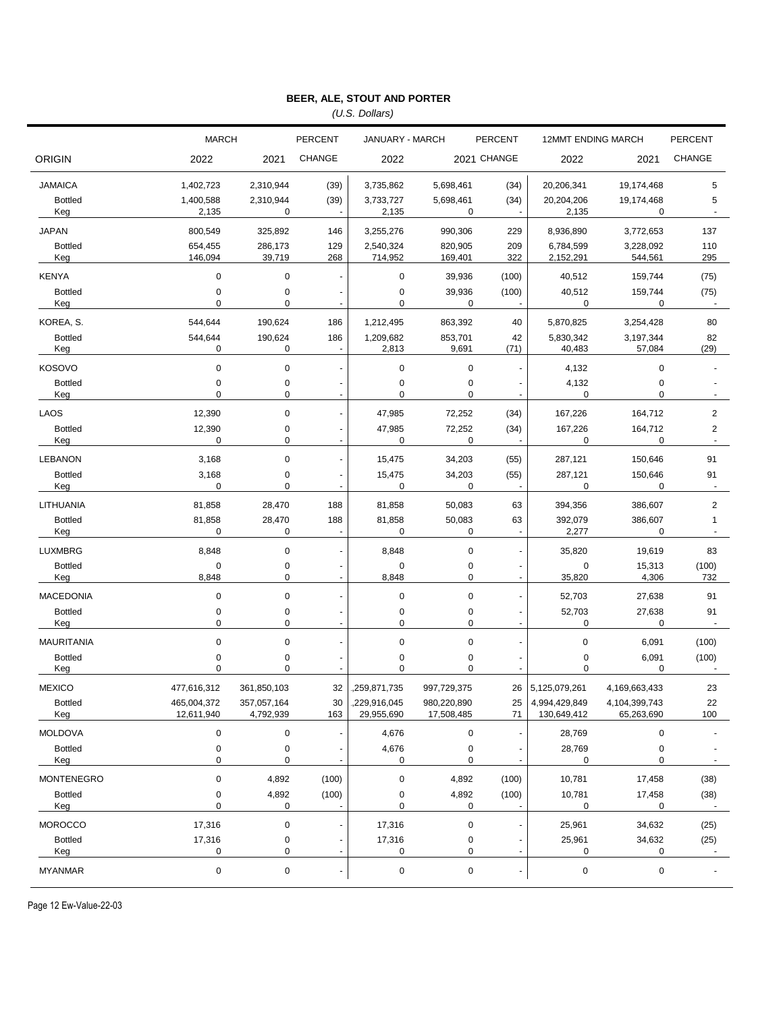*(U.S. Dollars)*

|                                 | <b>MARCH</b>              |                          | <b>PERCENT</b>                   | JANUARY - MARCH            |                           | <b>PERCENT</b>                             | <b>12MMT ENDING MARCH</b>      |                                | <b>PERCENT</b> |
|---------------------------------|---------------------------|--------------------------|----------------------------------|----------------------------|---------------------------|--------------------------------------------|--------------------------------|--------------------------------|----------------|
| <b>ORIGIN</b>                   | 2022                      | 2021                     | <b>CHANGE</b>                    | 2022                       |                           | 2021 CHANGE                                | 2022                           | 2021                           | <b>CHANGE</b>  |
|                                 |                           |                          |                                  |                            |                           |                                            |                                |                                |                |
| <b>JAMAICA</b>                  | 1,402,723                 | 2,310,944                | (39)                             | 3,735,862                  | 5,698,461                 | (34)                                       | 20,206,341                     | 19,174,468                     | 5              |
| <b>Bottled</b><br>Keg           | 1,400,588<br>2,135        | 2,310,944<br>0           | (39)<br>$\overline{\phantom{a}}$ | 3,733,727<br>2,135         | 5,698,461<br>0            | (34)                                       | 20,204,206<br>2,135            | 19,174,468<br>0                | 5              |
| <b>JAPAN</b>                    | 800,549                   | 325,892                  | 146                              | 3,255,276                  | 990,306                   | 229                                        | 8,936,890                      | 3,772,653                      | 137            |
| <b>Bottled</b>                  | 654,455                   | 286,173                  | 129                              | 2,540,324                  | 820,905                   | 209                                        | 6,784,599                      | 3,228,092                      | 110            |
| Keg                             | 146,094                   | 39,719                   | 268                              | 714,952                    | 169,401                   | 322                                        | 2,152,291                      | 544,561                        | 295            |
| <b>KENYA</b>                    | 0                         | $\mathbf 0$              | Ĭ.                               | $\mathbf 0$                | 39,936                    | (100)                                      | 40,512                         | 159,744                        | (75)           |
| <b>Bottled</b><br>Keg           | $\pmb{0}$<br>$\mathbf 0$  | 0<br>0                   | Ĭ.                               | $\pmb{0}$<br>0             | 39,936<br>0               | (100)                                      | 40,512<br>0                    | 159,744<br>0                   | (75)           |
| KOREA, S.                       | 544,644                   | 190,624                  | 186                              | 1,212,495                  | 863,392                   | 40                                         | 5,870,825                      | 3,254,428                      | 80             |
| <b>Bottled</b>                  | 544,644<br>0              | 190,624<br>0             | 186<br>$\blacksquare$            | 1,209,682                  | 853,701<br>9,691          | 42                                         | 5,830,342                      | 3,197,344                      | 82<br>(29)     |
| Keg                             |                           |                          |                                  | 2,813                      |                           | (71)                                       | 40,483                         | 57,084                         |                |
| <b>KOSOVO</b><br><b>Bottled</b> | $\mathbf 0$<br>$\pmb{0}$  | $\mathbf 0$<br>0         |                                  | $\mathbf 0$<br>$\mathbf 0$ | $\pmb{0}$<br>0            | ÷,                                         | 4,132<br>4,132                 | $\mathbf 0$<br>$\pmb{0}$       |                |
| Keg                             | $\mathbf 0$               | 0                        | Ĭ.                               | 0                          | 0                         |                                            | $\pmb{0}$                      | $\mathbf 0$                    |                |
| LAOS                            | 12,390                    | 0                        | $\ddot{\phantom{0}}$             | 47,985                     | 72,252                    | (34)                                       | 167,226                        | 164,712                        | $\overline{2}$ |
| <b>Bottled</b>                  | 12,390                    | 0                        | $\frac{1}{2}$                    | 47,985                     | 72,252                    | (34)                                       | 167,226                        | 164,712                        | $\overline{2}$ |
| Keg                             | $\mathbf 0$               | 0                        | ÷,                               | $\mathbf 0$                | 0                         |                                            | 0                              | 0                              | $\mathbf{r}$   |
| <b>LEBANON</b>                  | 3,168                     | 0                        | $\ddot{\phantom{0}}$             | 15,475                     | 34,203                    | (55)                                       | 287,121                        | 150,646                        | 91             |
| <b>Bottled</b><br>Keg           | 3,168<br>$\mathbf 0$      | 0<br>0                   | $\overline{a}$<br>ä,             | 15,475<br>0                | 34,203<br>0               | (55)                                       | 287,121<br>0                   | 150,646<br>0                   | 91             |
| LITHUANIA                       | 81,858                    | 28,470                   | 188                              | 81,858                     | 50,083                    | 63                                         | 394,356                        | 386,607                        | $\overline{2}$ |
| <b>Bottled</b><br>Keg           | 81,858<br>0               | 28,470<br>0              | 188<br>$\ddot{\phantom{a}}$      | 81,858<br>$\mathbf 0$      | 50,083<br>0               | 63<br>$\blacksquare$                       | 392,079<br>2,277               | 386,607<br>0                   | $\mathbf{1}$   |
| <b>LUXMBRG</b>                  | 8,848                     | $\mathbf 0$              | ł,                               | 8,848                      | $\pmb{0}$                 | ÷,                                         | 35,820                         | 19,619                         | 83             |
| <b>Bottled</b>                  | 0                         | 0                        | ł,<br>$\overline{a}$             | 0                          | 0                         | $\overline{\phantom{a}}$                   | 0                              | 15,313                         | (100)          |
| Keg                             | 8,848                     | 0                        |                                  | 8,848                      | 0                         | $\blacksquare$                             | 35,820                         | 4,306                          | 732            |
| <b>MACEDONIA</b>                | 0                         | 0                        | ٠                                | 0                          | $\pmb{0}$                 | $\blacksquare$                             | 52,703<br>52,703               | 27,638                         | 91             |
| <b>Bottled</b><br>Keg           | 0<br>0                    | 0<br>0                   | L.                               | 0<br>0                     | 0<br>0                    | $\overline{\phantom{a}}$<br>ä,             | $\pmb{0}$                      | 27,638<br>0                    | 91             |
| <b>MAURITANIA</b>               | $\pmb{0}$                 | 0                        | $\overline{a}$                   | $\pmb{0}$                  | $\pmb{0}$                 | $\frac{1}{2}$                              | 0                              | 6,091                          | (100)          |
| <b>Bottled</b>                  | 0                         | $\pmb{0}$                |                                  | 0                          | 0                         |                                            | 0                              | 6,091                          | (100)          |
| Keg                             | 0                         | 0                        |                                  | 0                          | $\mathbf 0$               |                                            | 0                              | 0                              |                |
| <b>MEXICO</b>                   | 477,616,312               | 361,850,103              | 32                               | .259,871,735               | 997,729,375               | 26                                         | 5,125,079,261<br>4,994,429,849 | 4,169,663,433<br>4,104,399,743 | 23             |
| <b>Bottled</b><br>Keg           | 465,004,372<br>12,611,940 | 357,057,164<br>4,792,939 | 30<br>163                        | ,229,916,045<br>29,955,690 | 980,220,890<br>17,508,485 | 25<br>71                                   | 130,649,412                    | 65,263,690                     | 22<br>100      |
| <b>MOLDOVA</b>                  | $\pmb{0}$                 | $\mathbf 0$              | ł,                               | 4,676                      | 0                         | $\frac{1}{2}$                              | 28,769                         | $\pmb{0}$                      |                |
| <b>Bottled</b>                  | $\pmb{0}$                 | $\pmb{0}$                |                                  | 4,676                      | 0                         |                                            | 28,769                         | $\pmb{0}$                      |                |
| Keg                             | $\pmb{0}$                 | 0                        |                                  | 0                          | 0                         | $\overline{\phantom{a}}$                   | 0                              | $\mathbf 0$                    |                |
| <b>MONTENEGRO</b>               | $\pmb{0}$                 | 4,892                    | (100)                            | 0                          | 4,892                     | (100)                                      | 10,781                         | 17,458                         | (38)           |
| <b>Bottled</b><br>Keg           | $\pmb{0}$<br>0            | 4,892<br>0               | (100)                            | 0<br>0                     | 4,892<br>0                | (100)                                      | 10,781<br>0                    | 17,458<br>0                    | (38)<br>$\sim$ |
| <b>MOROCCO</b>                  | 17,316                    | $\pmb{0}$                |                                  | 17,316                     | 0                         | $\overline{\phantom{a}}$                   | 25,961                         | 34,632                         | (25)           |
| <b>Bottled</b>                  | 17,316<br>$\pmb{0}$       | 0<br>0                   | $\overline{\phantom{a}}$         | 17,316                     | 0<br>0                    |                                            | 25,961<br>0                    | 34,632<br>0                    | (25)<br>$\sim$ |
| Keg<br><b>MYANMAR</b>           | $\pmb{0}$                 | 0                        | $\overline{a}$                   | 0<br>0                     | $\pmb{0}$                 | $\blacksquare$<br>$\overline{\phantom{a}}$ | 0                              | $\pmb{0}$                      |                |
|                                 |                           |                          |                                  |                            |                           |                                            |                                |                                |                |

Page 12 Ew-Value-22-03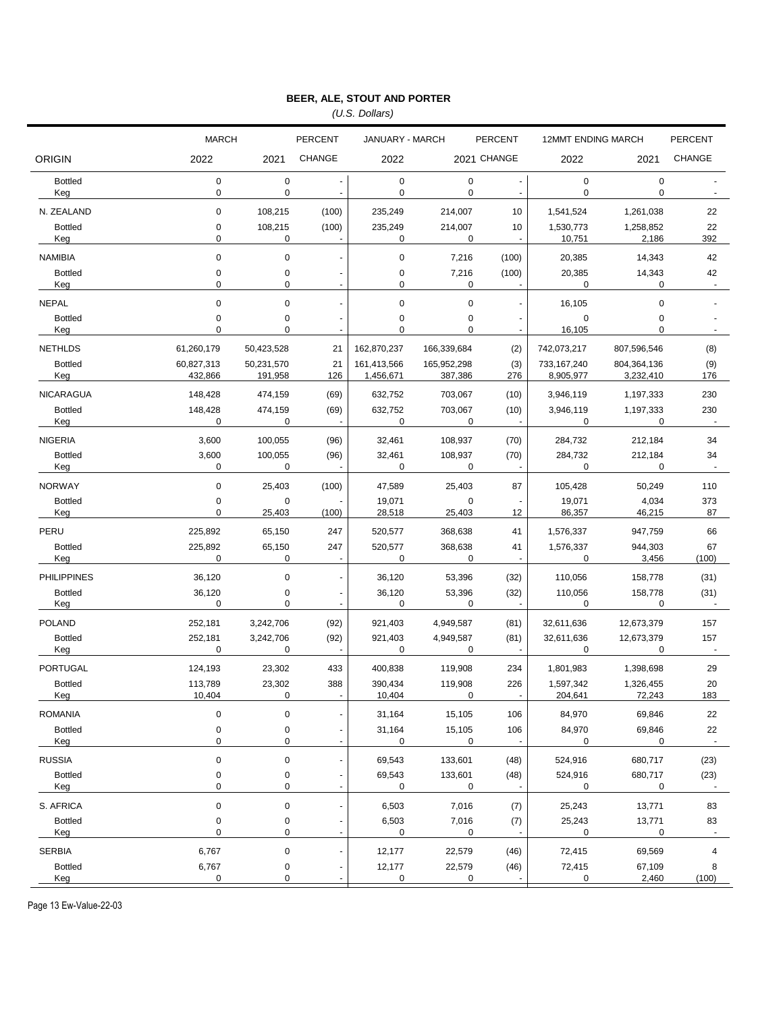*(U.S. Dollars)*

|                       | <b>MARCH</b>          |                       | <b>PERCENT</b>           | JANUARY - MARCH            |                        | <b>PERCENT</b>        |                             | <b>12MMT ENDING MARCH</b>  |                                  |
|-----------------------|-----------------------|-----------------------|--------------------------|----------------------------|------------------------|-----------------------|-----------------------------|----------------------------|----------------------------------|
| <b>ORIGIN</b>         | 2022                  | 2021                  | <b>CHANGE</b>            | 2022                       | 2021 CHANGE            |                       | 2022                        | 2021                       | <b>CHANGE</b>                    |
| <b>Bottled</b><br>Keg | $\pmb{0}$<br>0        | 0<br>0                | $\overline{\phantom{a}}$ | $\mathbf 0$<br>$\mathbf 0$ | $\mathbf 0$<br>0       | $\blacksquare$        | $\pmb{0}$<br>0              | $\pmb{0}$<br>$\mathbf 0$   | $\overline{\phantom{a}}$         |
| N. ZEALAND            | $\mathbf 0$           | 108,215               | (100)                    | 235,249                    | 214,007                | 10                    | 1,541,524                   | 1,261,038                  | 22                               |
| <b>Bottled</b><br>Keg | 0<br>0                | 108,215<br>0          | (100)                    | 235,249<br>0               | 214,007<br>0           | 10<br>$\blacksquare$  | 1,530,773<br>10,751         | 1,258,852<br>2,186         | 22<br>392                        |
| <b>NAMIBIA</b>        | $\mathbf 0$           | 0                     |                          | $\mathbf 0$                | 7,216                  | (100)                 | 20,385                      | 14,343                     | 42                               |
| <b>Bottled</b><br>Keg | 0<br>0                | 0<br>$\Omega$         |                          | $\mathbf 0$<br>$\mathbf 0$ | 7,216<br>0             | (100)                 | 20,385<br>0                 | 14,343<br>0                | 42<br>$\blacksquare$             |
| <b>NEPAL</b>          | 0                     | 0                     |                          | $\mathbf 0$                | $\pmb{0}$              |                       | 16,105                      | $\mathbf 0$                |                                  |
| <b>Bottled</b><br>Keg | 0<br>0                | 0<br>0                |                          | $\mathbf 0$<br>$\mathbf 0$ | $\pmb{0}$<br>0         |                       | $\mathbf 0$<br>16,105       | $\mathbf 0$<br>0           | $\sim$                           |
| <b>NETHLDS</b>        | 61,260,179            | 50,423,528            | 21                       | 162,870,237                | 166,339,684            | (2)                   | 742,073,217                 | 807,596,546                | (8)                              |
| <b>Bottled</b><br>Keg | 60,827,313<br>432,866 | 50,231,570<br>191,958 | 21<br>126                | 161,413,566<br>1,456,671   | 165,952,298<br>387,386 | (3)<br>276            | 733,167,240<br>8,905,977    | 804,364,136<br>3,232,410   | (9)<br>176                       |
| <b>NICARAGUA</b>      | 148,428               | 474,159               | (69)                     | 632,752                    | 703,067                | (10)                  | 3,946,119                   | 1,197,333                  | 230                              |
| <b>Bottled</b><br>Keg | 148,428<br>0          | 474,159<br>0          | (69)                     | 632,752<br>0               | 703,067<br>0           | (10)                  | 3,946,119<br>0              | 1,197,333<br>0             | 230                              |
| <b>NIGERIA</b>        | 3,600                 | 100,055               | (96)                     | 32,461                     | 108,937                | (70)                  | 284,732                     | 212,184                    | 34                               |
| <b>Bottled</b><br>Keg | 3,600<br>0            | 100,055<br>0          | (96)                     | 32,461<br>$\mathbf 0$      | 108,937<br>0           | (70)                  | 284,732<br>0                | 212,184<br>0               | 34                               |
| <b>NORWAY</b>         | $\pmb{0}$             | 25,403                | (100)                    | 47,589                     | 25,403                 | 87                    | 105,428                     | 50,249                     | 110                              |
| <b>Bottled</b><br>Keg | 0<br>0                | $\mathbf 0$<br>25,403 | (100)                    | 19,071<br>28,518           | 0<br>25,403            | 12                    | 19,071<br>86,357            | 4,034<br>46,215            | 373<br>87                        |
| PERU                  | 225,892               | 65,150                | 247                      | 520,577                    | 368,638                | 41                    | 1,576,337                   | 947,759                    | 66                               |
| <b>Bottled</b><br>Keg | 225,892<br>0          | 65,150<br>0           | 247                      | 520,577<br>$\mathbf 0$     | 368,638<br>0           | 41                    | 1,576,337<br>0              | 944,303<br>3,456           | 67<br>(100)                      |
| <b>PHILIPPINES</b>    | 36,120                | 0                     |                          | 36,120                     | 53,396                 | (32)                  | 110,056                     | 158,778                    | (31)                             |
| <b>Bottled</b><br>Keg | 36,120<br>0           | 0<br>$\Omega$         | $\blacksquare$           | 36,120<br>$\mathbf 0$      | 53,396<br>$\Omega$     | (32)                  | 110,056<br>0                | 158,778<br>0               | (31)                             |
| <b>POLAND</b>         | 252,181               | 3,242,706             | (92)                     | 921,403                    | 4,949,587              | (81)                  | 32,611,636                  | 12,673,379                 | 157                              |
| <b>Bottled</b><br>Keg | 252,181<br>0          | 3,242,706<br>0        | (92)                     | 921,403<br>$\mathbf 0$     | 4,949,587<br>0         | (81)                  | 32,611,636<br>0             | 12,673,379<br>0            | 157<br>÷.                        |
| PORTUGAL              | 124,193               | 23,302                | 433                      | 400,838                    | 119,908                | 234                   | 1,801,983                   | 1,398,698                  | 29                               |
| <b>Bottled</b><br>Keg | 113,789<br>10,404     | 23,302<br>0           | 388                      | 390,434<br>10,404          | 119,908<br>0           | 226<br>$\blacksquare$ | 1,597,342<br><u>204,641</u> | 1,326,455<br><u>72,243</u> | 20<br>183                        |
| <b>ROMANIA</b>        | 0                     | 0                     |                          | 31,164                     | 15,105                 | 106                   | 84,970                      | 69,846                     | 22                               |
| <b>Bottled</b><br>Keg | $\pmb{0}$<br>0        | 0<br>0                |                          | 31,164<br>0                | 15,105<br>0            | 106<br>÷.             | 84,970<br>0                 | 69,846<br>0                | 22<br>÷.                         |
| <b>RUSSIA</b>         | $\pmb{0}$             | 0                     |                          | 69,543                     | 133,601                | (48)                  | 524,916                     | 680,717                    | (23)                             |
| <b>Bottled</b><br>Keg | 0<br>0                | 0<br>0                |                          | 69,543<br>0                | 133,601<br>0           | (48)                  | 524,916<br>0                | 680,717<br>0               | (23)<br>$\overline{\phantom{a}}$ |
| S. AFRICA             | $\pmb{0}$             | 0                     |                          | 6,503                      | 7,016                  | (7)                   | 25,243                      | 13,771                     | 83                               |
| <b>Bottled</b><br>Keg | 0<br>0                | 0<br>0                |                          | 6,503<br>0                 | 7,016<br>0             | (7)                   | 25,243<br>0                 | 13,771<br>0                | 83<br>$\blacksquare$             |
| <b>SERBIA</b>         | 6,767                 | 0                     |                          | 12,177                     | 22,579                 | (46)                  | 72,415                      | 69,569                     | 4                                |
| <b>Bottled</b><br>Keg | 6,767<br>0            | 0<br>0                |                          | 12,177<br>0                | 22,579<br>0            | (46)                  | 72,415<br>0                 | 67,109<br>2,460            | 8<br>(100)                       |

Page 13 Ew-Value-22-03